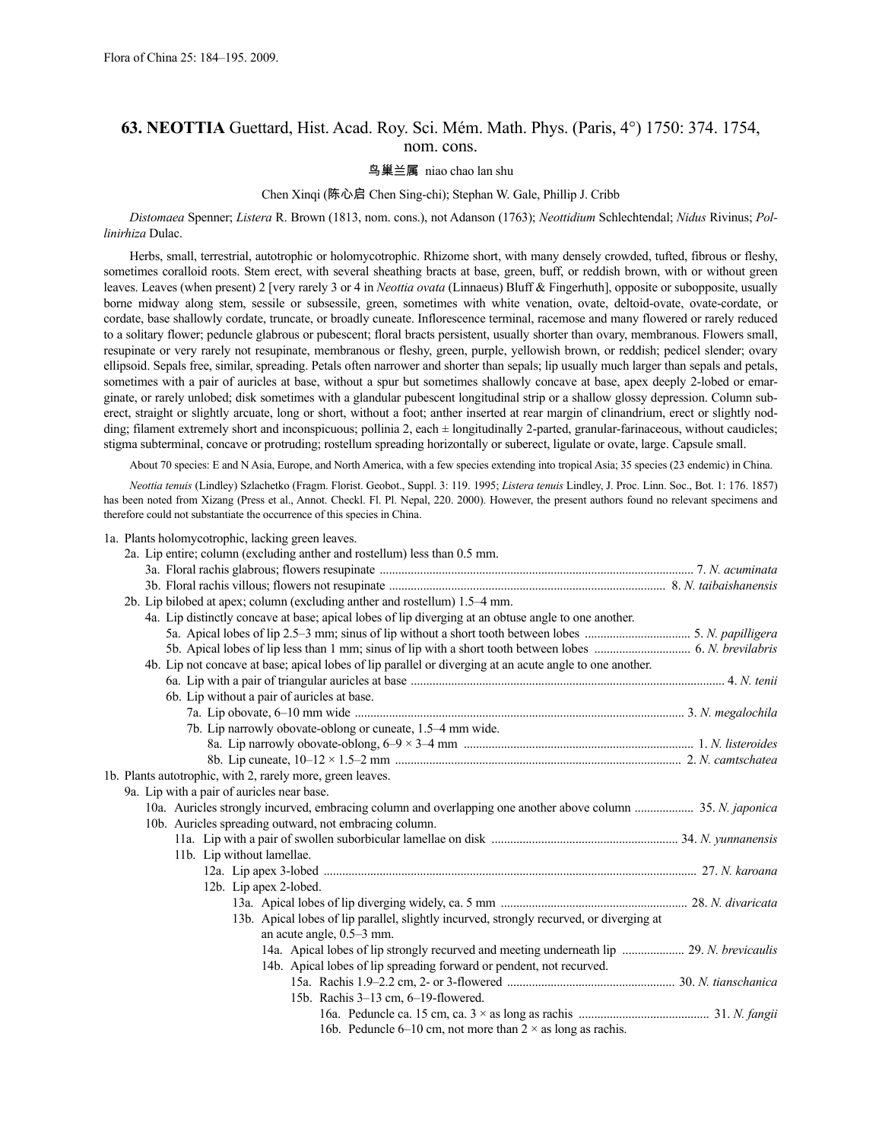# **63. NEOTTIA** Guettard, Hist. Acad. Roy. Sci. Mém. Math. Phys. (Paris, 4°) 1750: 374. 1754, nom. cons.

# 鸟巢兰属 niao chao lan shu

# Chen Xinqi (陈心启 Chen Sing-chi); Stephan W. Gale, Phillip J. Cribb

*Distomaea* Spenner; *Listera* R. Brown (1813, nom. cons.), not Adanson (1763); *Neottidium* Schlechtendal; *Nidus* Rivinus; *Pollinirhiza* Dulac.

Herbs, small, terrestrial, autotrophic or holomycotrophic. Rhizome short, with many densely crowded, tufted, fibrous or fleshy, sometimes coralloid roots. Stem erect, with several sheathing bracts at base, green, buff, or reddish brown, with or without green leaves. Leaves (when present) 2 [very rarely 3 or 4 in *Neottia ovata* (Linnaeus) Bluff & Fingerhuth], opposite or subopposite, usually borne midway along stem, sessile or subsessile, green, sometimes with white venation, ovate, deltoid-ovate, ovate-cordate, or cordate, base shallowly cordate, truncate, or broadly cuneate. Inflorescence terminal, racemose and many flowered or rarely reduced to a solitary flower; peduncle glabrous or pubescent; floral bracts persistent, usually shorter than ovary, membranous. Flowers small, resupinate or very rarely not resupinate, membranous or fleshy, green, purple, yellowish brown, or reddish; pedicel slender; ovary ellipsoid. Sepals free, similar, spreading. Petals often narrower and shorter than sepals; lip usually much larger than sepals and petals, sometimes with a pair of auricles at base, without a spur but sometimes shallowly concave at base, apex deeply 2-lobed or emarginate, or rarely unlobed; disk sometimes with a glandular pubescent longitudinal strip or a shallow glossy depression. Column suberect, straight or slightly arcuate, long or short, without a foot; anther inserted at rear margin of clinandrium, erect or slightly nodding; filament extremely short and inconspicuous; pollinia 2, each  $\pm$  longitudinally 2-parted, granular-farinaceous, without caudicles; stigma subterminal, concave or protruding; rostellum spreading horizontally or suberect, ligulate or ovate, large. Capsule small.

About 70 species: E and N Asia, Europe, and North America, with a few species extending into tropical Asia; 35 species (23 endemic) in China.

*Neottia tenuis* (Lindley) Szlachetko (Fragm. Florist. Geobot., Suppl. 3: 119. 1995; *Listera tenuis* Lindley, J. Proc. Linn. Soc., Bot. 1: 176. 1857) has been noted from Xizang (Press et al., Annot. Checkl. Fl. Pl. Nepal, 220. 2000). However, the present authors found no relevant specimens and therefore could not substantiate the occurrence of this species in China.

| 1a. Plants holomycotrophic, lacking green leaves.                                                           |  |
|-------------------------------------------------------------------------------------------------------------|--|
| 2a. Lip entire; column (excluding anther and rostellum) less than 0.5 mm.                                   |  |
|                                                                                                             |  |
|                                                                                                             |  |
| 2b. Lip bilobed at apex; column (excluding anther and rostellum) 1.5–4 mm.                                  |  |
| 4a. Lip distinctly concave at base; apical lobes of lip diverging at an obtuse angle to one another.        |  |
|                                                                                                             |  |
|                                                                                                             |  |
| 4b. Lip not concave at base; apical lobes of lip parallel or diverging at an acute angle to one another.    |  |
|                                                                                                             |  |
| 6b. Lip without a pair of auricles at base.                                                                 |  |
|                                                                                                             |  |
| 7b. Lip narrowly obovate-oblong or cuneate, 1.5-4 mm wide.                                                  |  |
|                                                                                                             |  |
|                                                                                                             |  |
| 1b. Plants autotrophic, with 2, rarely more, green leaves.                                                  |  |
| 9a. Lip with a pair of auricles near base.                                                                  |  |
| 10a. Auricles strongly incurved, embracing column and overlapping one another above column  35. N. japonica |  |
| 10b. Auricles spreading outward, not embracing column.                                                      |  |
|                                                                                                             |  |
| 11b. Lip without lamellae.                                                                                  |  |
|                                                                                                             |  |
| 12b. Lip apex 2-lobed.                                                                                      |  |
|                                                                                                             |  |
| 13b. Apical lobes of lip parallel, slightly incurved, strongly recurved, or diverging at                    |  |
| an acute angle, 0.5–3 mm.                                                                                   |  |
|                                                                                                             |  |
| 14b. Apical lobes of lip spreading forward or pendent, not recurved.                                        |  |
|                                                                                                             |  |
| 15b. Rachis 3–13 cm, 6–19-flowered.                                                                         |  |
|                                                                                                             |  |
| 16b. Peduncle 6–10 cm, not more than $2 \times$ as long as rachis.                                          |  |
|                                                                                                             |  |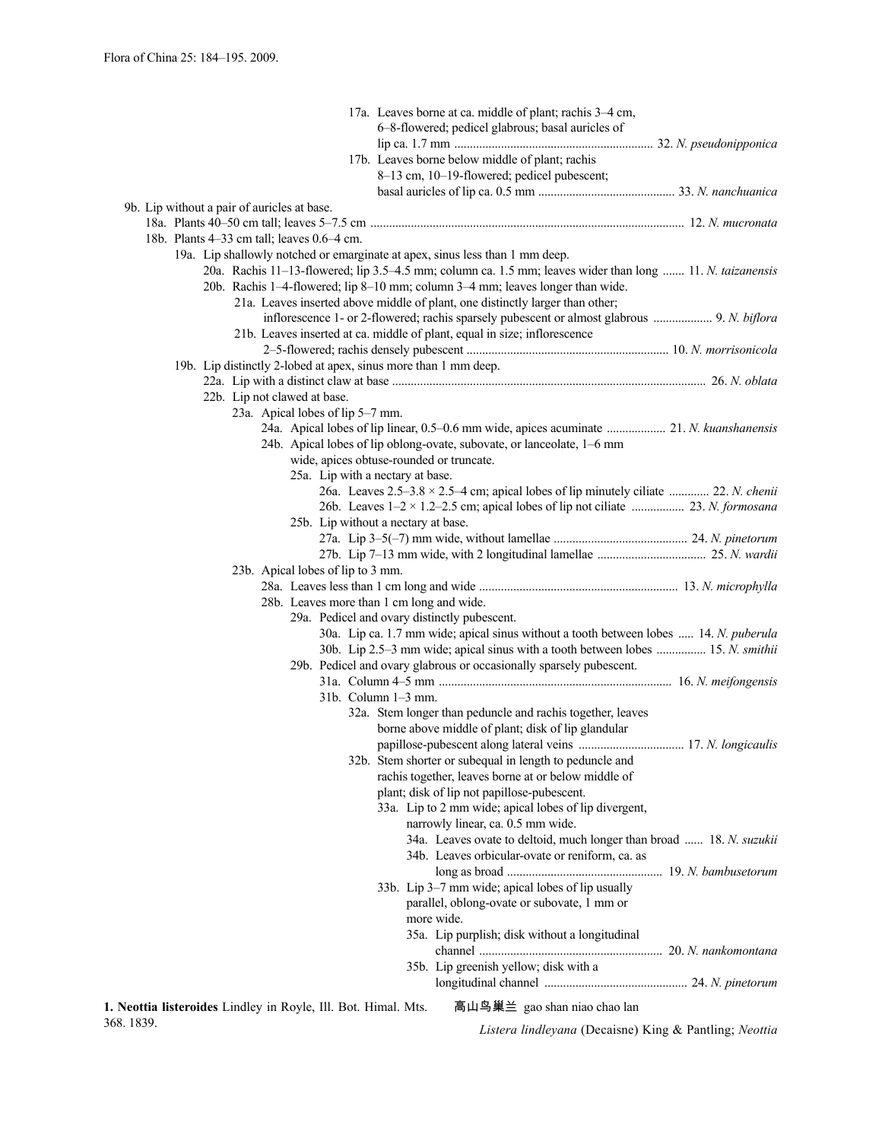|                                                                              | 17a. Leaves borne at ca. middle of plant; rachis 3–4 cm,                                                  |
|------------------------------------------------------------------------------|-----------------------------------------------------------------------------------------------------------|
|                                                                              | 6-8-flowered; pedicel glabrous; basal auricles of                                                         |
|                                                                              |                                                                                                           |
|                                                                              | 17b. Leaves borne below middle of plant; rachis                                                           |
|                                                                              | 8-13 cm, 10-19-flowered; pedicel pubescent;                                                               |
|                                                                              |                                                                                                           |
| 9b. Lip without a pair of auricles at base.                                  |                                                                                                           |
| 18b. Plants 4-33 cm tall; leaves 0.6-4 cm.                                   |                                                                                                           |
| 19a. Lip shallowly notched or emarginate at apex, sinus less than 1 mm deep. |                                                                                                           |
|                                                                              | 20a. Rachis 11-13-flowered; lip 3.5-4.5 mm; column ca. 1.5 mm; leaves wider than long  11. N. taizanensis |
|                                                                              | 20b. Rachis 1-4-flowered; lip 8-10 mm; column 3-4 mm; leaves longer than wide.                            |
|                                                                              | 21a. Leaves inserted above middle of plant, one distinctly larger than other;                             |
|                                                                              |                                                                                                           |
|                                                                              | 21b. Leaves inserted at ca. middle of plant, equal in size; inflorescence                                 |
|                                                                              |                                                                                                           |
| 19b. Lip distinctly 2-lobed at apex, sinus more than 1 mm deep.              |                                                                                                           |
|                                                                              |                                                                                                           |
| 22b. Lip not clawed at base.                                                 |                                                                                                           |
| 23a. Apical lobes of lip 5–7 mm.                                             |                                                                                                           |
|                                                                              | 24a. Apical lobes of lip linear, 0.5–0.6 mm wide, apices acuminate  21. N. kuanshanensis                  |
|                                                                              | 24b. Apical lobes of lip oblong-ovate, subovate, or lanceolate, 1–6 mm                                    |
|                                                                              | wide, apices obtuse-rounded or truncate.                                                                  |
| 25a. Lip with a nectary at base.                                             |                                                                                                           |
|                                                                              | 26a. Leaves $2.5-3.8 \times 2.5-4$ cm; apical lobes of lip minutely ciliate  22. N. chenii                |
|                                                                              | 25b. Lip without a nectary at base.                                                                       |
|                                                                              |                                                                                                           |
|                                                                              |                                                                                                           |
| 23b. Apical lobes of lip to 3 mm.                                            |                                                                                                           |
|                                                                              |                                                                                                           |
| 28b. Leaves more than 1 cm long and wide.                                    |                                                                                                           |
|                                                                              | 29a. Pedicel and ovary distinctly pubescent.                                                              |
|                                                                              | 30a. Lip ca. 1.7 mm wide; apical sinus without a tooth between lobes  14. N. puberula                     |
|                                                                              | 30b. Lip 2.5–3 mm wide; apical sinus with a tooth between lobes  15. N. smithii                           |
|                                                                              | 29b. Pedicel and ovary glabrous or occasionally sparsely pubescent.                                       |
|                                                                              |                                                                                                           |
| 31b. Column 1-3 mm.                                                          |                                                                                                           |
|                                                                              | 32a. Stem longer than peduncle and rachis together, leaves                                                |
|                                                                              | borne above middle of plant; disk of lip glandular                                                        |
|                                                                              |                                                                                                           |
|                                                                              | 32b. Stem shorter or subequal in length to peduncle and                                                   |
|                                                                              | rachis together, leaves borne at or below middle of                                                       |
|                                                                              | plant; disk of lip not papillose-pubescent.                                                               |
|                                                                              | 33a. Lip to 2 mm wide; apical lobes of lip divergent,                                                     |
|                                                                              | narrowly linear, ca. 0.5 mm wide.<br>34a. Leaves ovate to deltoid, much longer than broad  18. N. suzukii |
|                                                                              | 34b. Leaves orbicular-ovate or reniform, ca. as                                                           |
|                                                                              |                                                                                                           |
|                                                                              | 33b. Lip 3–7 mm wide; apical lobes of lip usually                                                         |
|                                                                              | parallel, oblong-ovate or subovate, 1 mm or                                                               |
|                                                                              | more wide.                                                                                                |
|                                                                              | 35a. Lip purplish; disk without a longitudinal                                                            |
|                                                                              |                                                                                                           |
|                                                                              | 35b. Lip greenish yellow; disk with a                                                                     |
|                                                                              |                                                                                                           |
|                                                                              |                                                                                                           |

**1. Neottia listeroides** Lindley in Royle, Ill. Bot. Himal. Mts. 368. 1839.

高山鸟巢兰 gao shan niao chao lan

*Listera lindleyana* (Decaisne) King & Pantling; *Neottia*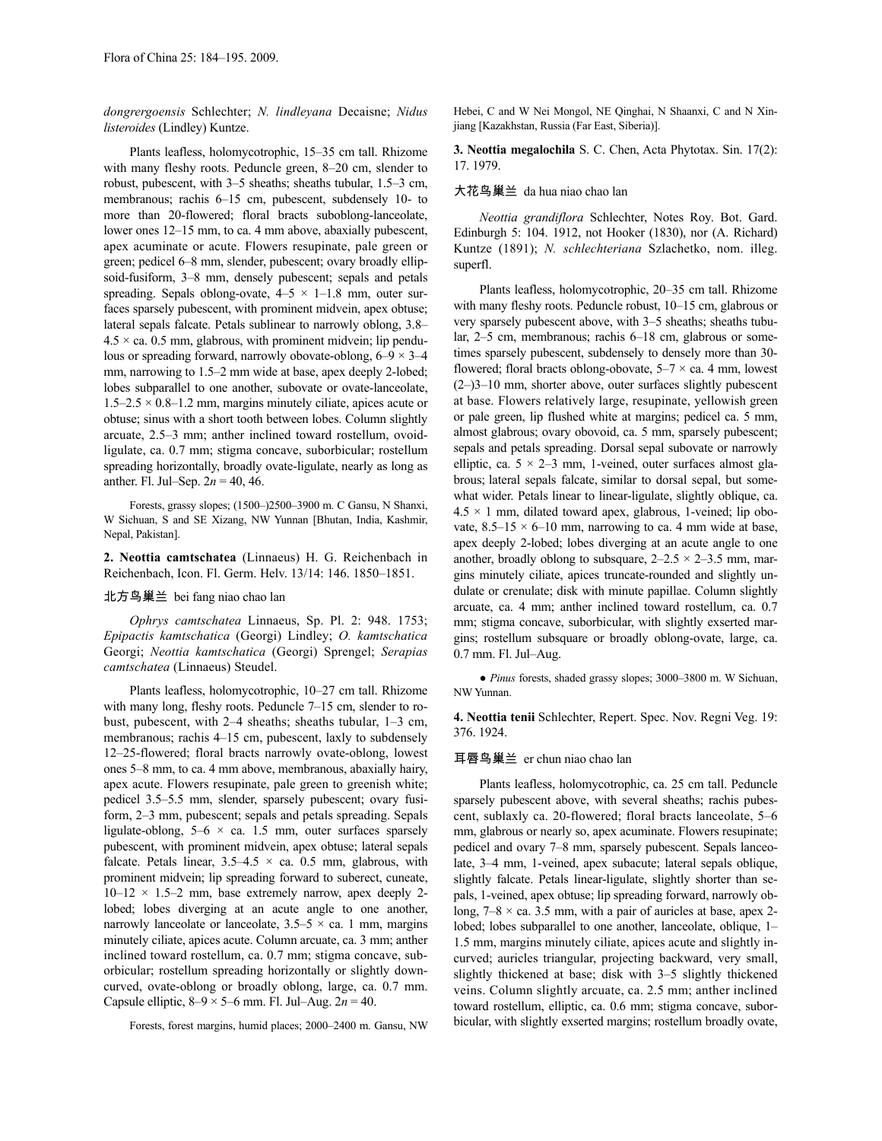*dongrergoensis* Schlechter; *N. lindleyana* Decaisne; *Nidus listeroides* (Lindley) Kuntze.

Plants leafless, holomycotrophic, 15–35 cm tall. Rhizome with many fleshy roots. Peduncle green, 8–20 cm, slender to robust, pubescent, with 3–5 sheaths; sheaths tubular, 1.5–3 cm, membranous; rachis 6–15 cm, pubescent, subdensely 10- to more than 20-flowered; floral bracts suboblong-lanceolate, lower ones 12–15 mm, to ca. 4 mm above, abaxially pubescent, apex acuminate or acute. Flowers resupinate, pale green or green; pedicel 6–8 mm, slender, pubescent; ovary broadly ellipsoid-fusiform, 3–8 mm, densely pubescent; sepals and petals spreading. Sepals oblong-ovate,  $4-5 \times 1-1.8$  mm, outer surfaces sparsely pubescent, with prominent midvein, apex obtuse; lateral sepals falcate. Petals sublinear to narrowly oblong, 3.8–  $4.5 \times$  ca. 0.5 mm, glabrous, with prominent midvein; lip pendulous or spreading forward, narrowly obovate-oblong,  $6-9 \times 3-4$ mm, narrowing to 1.5–2 mm wide at base, apex deeply 2-lobed; lobes subparallel to one another, subovate or ovate-lanceolate,  $1.5-2.5 \times 0.8-1.2$  mm, margins minutely ciliate, apices acute or obtuse; sinus with a short tooth between lobes. Column slightly arcuate, 2.5–3 mm; anther inclined toward rostellum, ovoidligulate, ca. 0.7 mm; stigma concave, suborbicular; rostellum spreading horizontally, broadly ovate-ligulate, nearly as long as anther. Fl. Jul–Sep. 2*n* = 40, 46.

Forests, grassy slopes; (1500–)2500–3900 m. C Gansu, N Shanxi, W Sichuan, S and SE Xizang, NW Yunnan [Bhutan, India, Kashmir, Nepal, Pakistan].

**2. Neottia camtschatea** (Linnaeus) H. G. Reichenbach in Reichenbach, Icon. Fl. Germ. Helv. 13/14: 146. 1850–1851.

### 北方鸟巢兰 bei fang niao chao lan

*Ophrys camtschatea* Linnaeus, Sp. Pl. 2: 948. 1753; *Epipactis kamtschatica* (Georgi) Lindley; *O. kamtschatica* Georgi; *Neottia kamtschatica* (Georgi) Sprengel; *Serapias camtschatea* (Linnaeus) Steudel.

Plants leafless, holomycotrophic, 10–27 cm tall. Rhizome with many long, fleshy roots. Peduncle 7–15 cm, slender to robust, pubescent, with 2–4 sheaths; sheaths tubular, 1–3 cm, membranous; rachis 4–15 cm, pubescent, laxly to subdensely 12–25-flowered; floral bracts narrowly ovate-oblong, lowest ones 5–8 mm, to ca. 4 mm above, membranous, abaxially hairy, apex acute. Flowers resupinate, pale green to greenish white; pedicel 3.5–5.5 mm, slender, sparsely pubescent; ovary fusiform, 2–3 mm, pubescent; sepals and petals spreading. Sepals ligulate-oblong,  $5-6 \times ca$ . 1.5 mm, outer surfaces sparsely pubescent, with prominent midvein, apex obtuse; lateral sepals falcate. Petals linear,  $3.5-4.5 \times$  ca. 0.5 mm, glabrous, with prominent midvein; lip spreading forward to suberect, cuneate,  $10-12 \times 1.5-2$  mm, base extremely narrow, apex deeply 2lobed; lobes diverging at an acute angle to one another, narrowly lanceolate or lanceolate,  $3.5-5 \times$  ca. 1 mm, margins minutely ciliate, apices acute. Column arcuate, ca. 3 mm; anther inclined toward rostellum, ca. 0.7 mm; stigma concave, suborbicular; rostellum spreading horizontally or slightly downcurved, ovate-oblong or broadly oblong, large, ca. 0.7 mm. Capsule elliptic,  $8-9 \times 5-6$  mm. Fl. Jul–Aug.  $2n = 40$ .

Forests, forest margins, humid places; 2000–2400 m. Gansu, NW

Hebei, C and W Nei Mongol, NE Qinghai, N Shaanxi, C and N Xinjiang [Kazakhstan, Russia (Far East, Siberia)].

**3. Neottia megalochila** S. C. Chen, Acta Phytotax. Sin. 17(2): 17. 1979.

# 大花鸟巢兰 da hua niao chao lan

*Neottia grandiflora* Schlechter, Notes Roy. Bot. Gard. Edinburgh 5: 104. 1912, not Hooker (1830), nor (A. Richard) Kuntze (1891); *N. schlechteriana* Szlachetko, nom. illeg. superfl.

Plants leafless, holomycotrophic, 20–35 cm tall. Rhizome with many fleshy roots. Peduncle robust, 10–15 cm, glabrous or very sparsely pubescent above, with 3–5 sheaths; sheaths tubular, 2–5 cm, membranous; rachis 6–18 cm, glabrous or sometimes sparsely pubescent, subdensely to densely more than 30 flowered; floral bracts oblong-obovate,  $5-7 \times$  ca. 4 mm, lowest (2–)3–10 mm, shorter above, outer surfaces slightly pubescent at base. Flowers relatively large, resupinate, yellowish green or pale green, lip flushed white at margins; pedicel ca. 5 mm, almost glabrous; ovary obovoid, ca. 5 mm, sparsely pubescent; sepals and petals spreading. Dorsal sepal subovate or narrowly elliptic, ca.  $5 \times 2-3$  mm, 1-veined, outer surfaces almost glabrous; lateral sepals falcate, similar to dorsal sepal, but somewhat wider. Petals linear to linear-ligulate, slightly oblique, ca.  $4.5 \times 1$  mm, dilated toward apex, glabrous, 1-veined; lip obovate,  $8.5-15 \times 6-10$  mm, narrowing to ca. 4 mm wide at base, apex deeply 2-lobed; lobes diverging at an acute angle to one another, broadly oblong to subsquare,  $2-2.5 \times 2-3.5$  mm, margins minutely ciliate, apices truncate-rounded and slightly undulate or crenulate; disk with minute papillae. Column slightly arcuate, ca. 4 mm; anther inclined toward rostellum, ca. 0.7 mm; stigma concave, suborbicular, with slightly exserted margins; rostellum subsquare or broadly oblong-ovate, large, ca. 0.7 mm. Fl. Jul–Aug.

● *Pinus* forests, shaded grassy slopes; 3000–3800 m. W Sichuan, NW Yunnan.

**4. Neottia tenii** Schlechter, Repert. Spec. Nov. Regni Veg. 19: 376. 1924.

### 耳唇鸟巢兰 er chun niao chao lan

Plants leafless, holomycotrophic, ca. 25 cm tall. Peduncle sparsely pubescent above, with several sheaths; rachis pubescent, sublaxly ca. 20-flowered; floral bracts lanceolate, 5–6 mm, glabrous or nearly so, apex acuminate. Flowers resupinate; pedicel and ovary 7–8 mm, sparsely pubescent. Sepals lanceolate, 3–4 mm, 1-veined, apex subacute; lateral sepals oblique, slightly falcate. Petals linear-ligulate, slightly shorter than sepals, 1-veined, apex obtuse; lip spreading forward, narrowly oblong,  $7-8 \times$  ca. 3.5 mm, with a pair of auricles at base, apex 2lobed; lobes subparallel to one another, lanceolate, oblique, 1– 1.5 mm, margins minutely ciliate, apices acute and slightly incurved; auricles triangular, projecting backward, very small, slightly thickened at base; disk with 3–5 slightly thickened veins. Column slightly arcuate, ca. 2.5 mm; anther inclined toward rostellum, elliptic, ca. 0.6 mm; stigma concave, suborbicular, with slightly exserted margins; rostellum broadly ovate,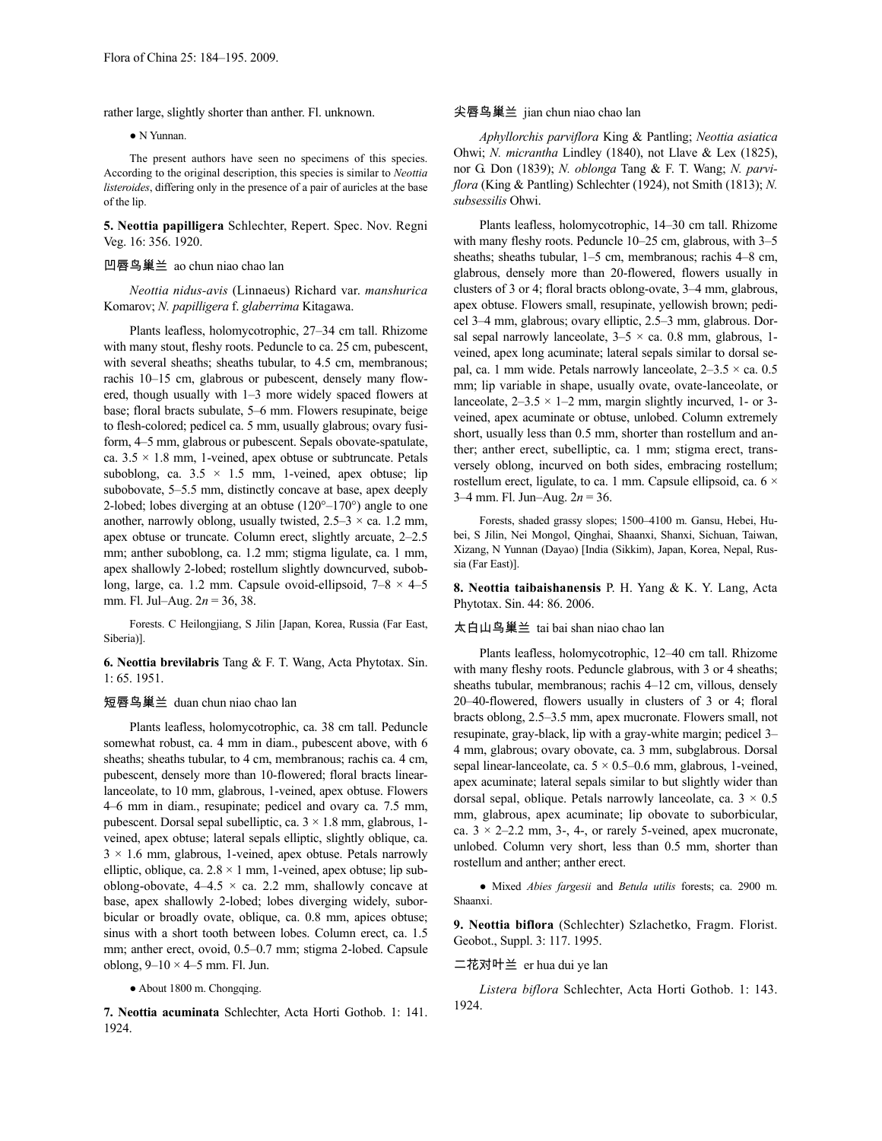rather large, slightly shorter than anther. Fl. unknown.

#### ● N Yunnan.

The present authors have seen no specimens of this species. According to the original description, this species is similar to *Neottia listeroides*, differing only in the presence of a pair of auricles at the base of the lip.

**5. Neottia papilligera** Schlechter, Repert. Spec. Nov. Regni Veg. 16: 356. 1920.

# 凹唇鸟巢兰 ao chun niao chao lan

*Neottia nidus-avis* (Linnaeus) Richard var. *manshurica* Komarov; *N. papilligera* f. *glaberrima* Kitagawa.

Plants leafless, holomycotrophic, 27–34 cm tall. Rhizome with many stout, fleshy roots. Peduncle to ca. 25 cm, pubescent, with several sheaths; sheaths tubular, to 4.5 cm, membranous; rachis 10–15 cm, glabrous or pubescent, densely many flowered, though usually with 1–3 more widely spaced flowers at base; floral bracts subulate, 5–6 mm. Flowers resupinate, beige to flesh-colored; pedicel ca. 5 mm, usually glabrous; ovary fusiform, 4–5 mm, glabrous or pubescent. Sepals obovate-spatulate, ca.  $3.5 \times 1.8$  mm, 1-veined, apex obtuse or subtruncate. Petals suboblong, ca.  $3.5 \times 1.5$  mm, 1-veined, apex obtuse; lip subobovate, 5–5.5 mm, distinctly concave at base, apex deeply 2-lobed; lobes diverging at an obtuse  $(120^{\circ}-170^{\circ})$  angle to one another, narrowly oblong, usually twisted,  $2.5-3 \times$  ca. 1.2 mm, apex obtuse or truncate. Column erect, slightly arcuate, 2–2.5 mm; anther suboblong, ca. 1.2 mm; stigma ligulate, ca. 1 mm, apex shallowly 2-lobed; rostellum slightly downcurved, suboblong, large, ca. 1.2 mm. Capsule ovoid-ellipsoid,  $7-8 \times 4-5$ mm. Fl. Jul–Aug. 2*n* = 36, 38.

Forests. C Heilongjiang, S Jilin [Japan, Korea, Russia (Far East, Siberia)].

**6. Neottia brevilabris** Tang & F. T. Wang, Acta Phytotax. Sin. 1: 65. 1951.

#### 短唇鸟巢兰 duan chun niao chao lan

Plants leafless, holomycotrophic, ca. 38 cm tall. Peduncle somewhat robust, ca. 4 mm in diam., pubescent above, with 6 sheaths; sheaths tubular, to 4 cm, membranous; rachis ca. 4 cm, pubescent, densely more than 10-flowered; floral bracts linearlanceolate, to 10 mm, glabrous, 1-veined, apex obtuse. Flowers 4–6 mm in diam., resupinate; pedicel and ovary ca. 7.5 mm, pubescent. Dorsal sepal subelliptic, ca.  $3 \times 1.8$  mm, glabrous, 1veined, apex obtuse; lateral sepals elliptic, slightly oblique, ca.  $3 \times 1.6$  mm, glabrous, 1-veined, apex obtuse. Petals narrowly elliptic, oblique, ca.  $2.8 \times 1$  mm, 1-veined, apex obtuse; lip suboblong-obovate,  $4-4.5 \times$  ca. 2.2 mm, shallowly concave at base, apex shallowly 2-lobed; lobes diverging widely, suborbicular or broadly ovate, oblique, ca. 0.8 mm, apices obtuse; sinus with a short tooth between lobes. Column erect, ca. 1.5 mm; anther erect, ovoid, 0.5–0.7 mm; stigma 2-lobed. Capsule oblong,  $9-10 \times 4-5$  mm. Fl. Jun.

● About 1800 m. Chongqing.

**7. Neottia acuminata** Schlechter, Acta Horti Gothob. 1: 141. 1924.

# 尖唇鸟巢兰 jian chun niao chao lan

*Aphyllorchis parviflora* King & Pantling; *Neottia asiatica* Ohwi; *N. micrantha* Lindley (1840), not Llave & Lex (1825), nor G. Don (1839); *N. oblonga* Tang & F. T. Wang; *N. parviflora* (King & Pantling) Schlechter (1924), not Smith (1813); *N. subsessilis* Ohwi.

Plants leafless, holomycotrophic, 14–30 cm tall. Rhizome with many fleshy roots. Peduncle 10–25 cm, glabrous, with 3–5 sheaths; sheaths tubular, 1–5 cm, membranous; rachis 4–8 cm, glabrous, densely more than 20-flowered, flowers usually in clusters of 3 or 4; floral bracts oblong-ovate, 3–4 mm, glabrous, apex obtuse. Flowers small, resupinate, yellowish brown; pedicel 3–4 mm, glabrous; ovary elliptic, 2.5–3 mm, glabrous. Dorsal sepal narrowly lanceolate,  $3-5 \times$  ca. 0.8 mm, glabrous, 1veined, apex long acuminate; lateral sepals similar to dorsal sepal, ca. 1 mm wide. Petals narrowly lanceolate,  $2-3.5 \times$  ca. 0.5 mm; lip variable in shape, usually ovate, ovate-lanceolate, or lanceolate,  $2-3.5 \times 1-2$  mm, margin slightly incurved, 1- or 3veined, apex acuminate or obtuse, unlobed. Column extremely short, usually less than 0.5 mm, shorter than rostellum and anther; anther erect, subelliptic, ca. 1 mm; stigma erect, transversely oblong, incurved on both sides, embracing rostellum; rostellum erect, ligulate, to ca. 1 mm. Capsule ellipsoid, ca.  $6 \times$ 3–4 mm. Fl. Jun–Aug. 2*n* = 36.

Forests, shaded grassy slopes; 1500–4100 m. Gansu, Hebei, Hubei, S Jilin, Nei Mongol, Qinghai, Shaanxi, Shanxi, Sichuan, Taiwan, Xizang, N Yunnan (Dayao) [India (Sikkim), Japan, Korea, Nepal, Russia (Far East)].

**8. Neottia taibaishanensis** P. H. Yang & K. Y. Lang, Acta Phytotax. Sin. 44: 86. 2006.

# 太白山鸟巢兰 tai bai shan niao chao lan

Plants leafless, holomycotrophic, 12–40 cm tall. Rhizome with many fleshy roots. Peduncle glabrous, with 3 or 4 sheaths; sheaths tubular, membranous; rachis 4–12 cm, villous, densely 20–40-flowered, flowers usually in clusters of 3 or 4; floral bracts oblong, 2.5–3.5 mm, apex mucronate. Flowers small, not resupinate, gray-black, lip with a gray-white margin; pedicel 3– 4 mm, glabrous; ovary obovate, ca. 3 mm, subglabrous. Dorsal sepal linear-lanceolate, ca.  $5 \times 0.5$ –0.6 mm, glabrous, 1-veined, apex acuminate; lateral sepals similar to but slightly wider than dorsal sepal, oblique. Petals narrowly lanceolate, ca.  $3 \times 0.5$ mm, glabrous, apex acuminate; lip obovate to suborbicular, ca.  $3 \times 2 - 2.2$  mm, 3-, 4-, or rarely 5-veined, apex mucronate, unlobed. Column very short, less than 0.5 mm, shorter than rostellum and anther; anther erect.

● Mixed *Abies fargesii* and *Betula utilis* forests; ca. 2900 m. Shaanxi.

**9. Neottia biflora** (Schlechter) Szlachetko, Fragm. Florist. Geobot., Suppl. 3: 117. 1995.

二花对叶兰 er hua dui ye lan

*Listera biflora* Schlechter, Acta Horti Gothob. 1: 143. 1924.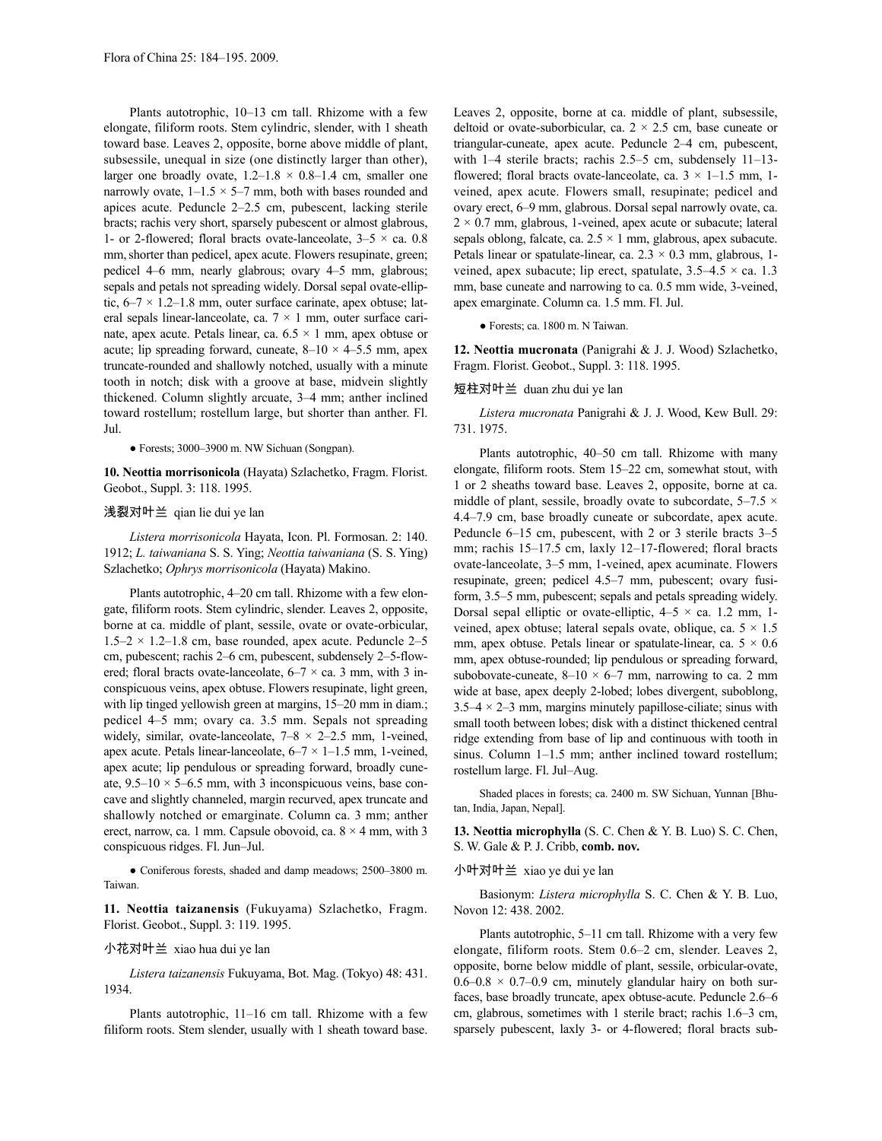Plants autotrophic, 10–13 cm tall. Rhizome with a few elongate, filiform roots. Stem cylindric, slender, with 1 sheath toward base. Leaves 2, opposite, borne above middle of plant, subsessile, unequal in size (one distinctly larger than other), larger one broadly ovate,  $1.2-1.8 \times 0.8-1.4$  cm, smaller one narrowly ovate,  $1-1.5 \times 5-7$  mm, both with bases rounded and apices acute. Peduncle 2–2.5 cm, pubescent, lacking sterile bracts; rachis very short, sparsely pubescent or almost glabrous, 1- or 2-flowered; floral bracts ovate-lanceolate,  $3-5 \times ca$ . 0.8 mm, shorter than pedicel, apex acute. Flowers resupinate, green; pedicel 4–6 mm, nearly glabrous; ovary 4–5 mm, glabrous; sepals and petals not spreading widely. Dorsal sepal ovate-elliptic, 6–7 × 1.2–1.8 mm, outer surface carinate, apex obtuse; lateral sepals linear-lanceolate, ca. 7 × 1 mm, outer surface carinate, apex acute. Petals linear, ca.  $6.5 \times 1$  mm, apex obtuse or acute; lip spreading forward, cuneate,  $8-10 \times 4-5.5$  mm, apex truncate-rounded and shallowly notched, usually with a minute tooth in notch; disk with a groove at base, midvein slightly thickened. Column slightly arcuate, 3–4 mm; anther inclined toward rostellum; rostellum large, but shorter than anther. Fl. Jul.

● Forests; 3000–3900 m. NW Sichuan (Songpan).

**10. Neottia morrisonicola** (Hayata) Szlachetko, Fragm. Florist. Geobot., Suppl. 3: 118. 1995.

#### 浅裂对叶兰 qian lie dui ye lan

*Listera morrisonicola* Hayata, Icon. Pl. Formosan. 2: 140. 1912; *L. taiwaniana* S. S. Ying; *Neottia taiwaniana* (S. S. Ying) Szlachetko; *Ophrys morrisonicola* (Hayata) Makino.

Plants autotrophic, 4–20 cm tall. Rhizome with a few elongate, filiform roots. Stem cylindric, slender. Leaves 2, opposite, borne at ca. middle of plant, sessile, ovate or ovate-orbicular,  $1.5-2 \times 1.2-1.8$  cm, base rounded, apex acute. Peduncle 2-5 cm, pubescent; rachis 2–6 cm, pubescent, subdensely 2–5-flowered; floral bracts ovate-lanceolate,  $6-7 \times$  ca. 3 mm, with 3 inconspicuous veins, apex obtuse. Flowers resupinate, light green, with lip tinged yellowish green at margins, 15–20 mm in diam.; pedicel 4–5 mm; ovary ca. 3.5 mm. Sepals not spreading widely, similar, ovate-lanceolate,  $7-8 \times 2-2.5$  mm, 1-veined, apex acute. Petals linear-lanceolate,  $6-7 \times 1-1.5$  mm, 1-veined, apex acute; lip pendulous or spreading forward, broadly cuneate,  $9.5-10 \times 5-6.5$  mm, with 3 inconspicuous veins, base concave and slightly channeled, margin recurved, apex truncate and shallowly notched or emarginate. Column ca. 3 mm; anther erect, narrow, ca. 1 mm. Capsule obovoid, ca.  $8 \times 4$  mm, with 3 conspicuous ridges. Fl. Jun–Jul.

● Coniferous forests, shaded and damp meadows; 2500–3800 m. Taiwan.

**11. Neottia taizanensis** (Fukuyama) Szlachetko, Fragm. Florist. Geobot., Suppl. 3: 119. 1995.

# 小花对叶兰 xiao hua dui ye lan

*Listera taizanensis* Fukuyama, Bot. Mag. (Tokyo) 48: 431. 1934.

Plants autotrophic, 11–16 cm tall. Rhizome with a few filiform roots. Stem slender, usually with 1 sheath toward base. Leaves 2, opposite, borne at ca. middle of plant, subsessile, deltoid or ovate-suborbicular, ca.  $2 \times 2.5$  cm, base cuneate or triangular-cuneate, apex acute. Peduncle 2–4 cm, pubescent, with 1–4 sterile bracts; rachis 2.5–5 cm, subdensely 11–13 flowered; floral bracts ovate-lanceolate, ca.  $3 \times 1 - 1.5$  mm, 1veined, apex acute. Flowers small, resupinate; pedicel and ovary erect, 6–9 mm, glabrous. Dorsal sepal narrowly ovate, ca.  $2 \times 0.7$  mm, glabrous, 1-veined, apex acute or subacute; lateral sepals oblong, falcate, ca.  $2.5 \times 1$  mm, glabrous, apex subacute. Petals linear or spatulate-linear, ca.  $2.3 \times 0.3$  mm, glabrous, 1veined, apex subacute; lip erect, spatulate,  $3.5-4.5 \times$  ca. 1.3 mm, base cuneate and narrowing to ca. 0.5 mm wide, 3-veined, apex emarginate. Column ca. 1.5 mm. Fl. Jul.

● Forests; ca. 1800 m. N Taiwan.

**12. Neottia mucronata** (Panigrahi & J. J. Wood) Szlachetko, Fragm. Florist. Geobot., Suppl. 3: 118. 1995.

# 短柱对叶兰 duan zhu dui ye lan

*Listera mucronata* Panigrahi & J. J. Wood, Kew Bull. 29: 731. 1975.

Plants autotrophic, 40–50 cm tall. Rhizome with many elongate, filiform roots. Stem 15–22 cm, somewhat stout, with 1 or 2 sheaths toward base. Leaves 2, opposite, borne at ca. middle of plant, sessile, broadly ovate to subcordate,  $5-7.5 \times$ 4.4–7.9 cm, base broadly cuneate or subcordate, apex acute. Peduncle 6–15 cm, pubescent, with 2 or 3 sterile bracts 3–5 mm; rachis 15–17.5 cm, laxly 12–17-flowered; floral bracts ovate-lanceolate, 3–5 mm, 1-veined, apex acuminate. Flowers resupinate, green; pedicel 4.5–7 mm, pubescent; ovary fusiform, 3.5–5 mm, pubescent; sepals and petals spreading widely. Dorsal sepal elliptic or ovate-elliptic,  $4-5 \times$  ca. 1.2 mm, 1veined, apex obtuse; lateral sepals ovate, oblique, ca.  $5 \times 1.5$ mm, apex obtuse. Petals linear or spatulate-linear, ca.  $5 \times 0.6$ mm, apex obtuse-rounded; lip pendulous or spreading forward, subobovate-cuneate,  $8-10 \times 6-7$  mm, narrowing to ca. 2 mm wide at base, apex deeply 2-lobed; lobes divergent, suboblong,  $3.5-4 \times 2-3$  mm, margins minutely papillose-ciliate; sinus with small tooth between lobes; disk with a distinct thickened central ridge extending from base of lip and continuous with tooth in sinus. Column 1–1.5 mm; anther inclined toward rostellum; rostellum large. Fl. Jul–Aug.

Shaded places in forests; ca. 2400 m. SW Sichuan, Yunnan [Bhutan, India, Japan, Nepal].

**13. Neottia microphylla** (S. C. Chen & Y. B. Luo) S. C. Chen, S. W. Gale & P. J. Cribb, **comb. nov.**

# 小叶对叶兰 xiao ye dui ye lan

Basionym: *Listera microphylla* S. C. Chen & Y. B. Luo, Novon 12: 438. 2002.

Plants autotrophic, 5–11 cm tall. Rhizome with a very few elongate, filiform roots. Stem 0.6–2 cm, slender. Leaves 2, opposite, borne below middle of plant, sessile, orbicular-ovate,  $0.6-0.8 \times 0.7-0.9$  cm, minutely glandular hairy on both surfaces, base broadly truncate, apex obtuse-acute. Peduncle 2.6–6 cm, glabrous, sometimes with 1 sterile bract; rachis 1.6–3 cm, sparsely pubescent, laxly 3- or 4-flowered; floral bracts sub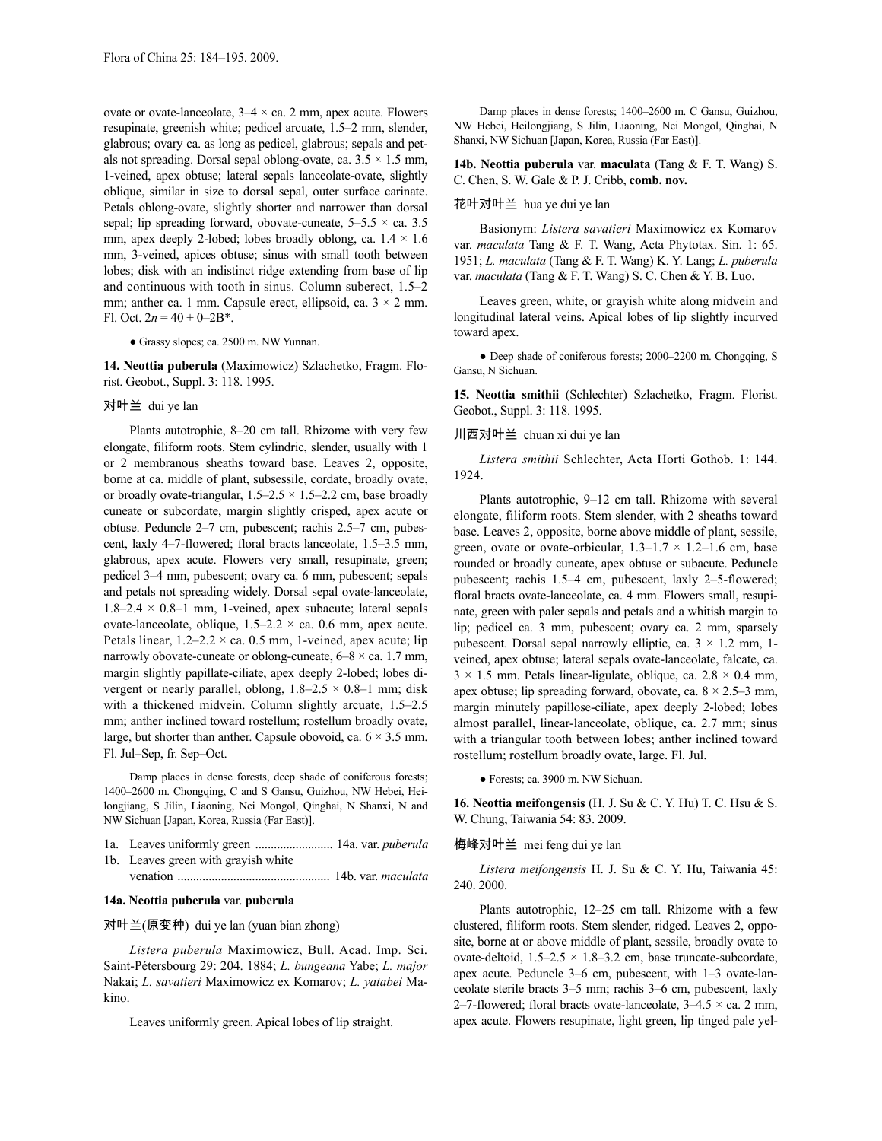ovate or ovate-lanceolate,  $3-4 \times$  ca. 2 mm, apex acute. Flowers resupinate, greenish white; pedicel arcuate, 1.5–2 mm, slender, glabrous; ovary ca. as long as pedicel, glabrous; sepals and petals not spreading. Dorsal sepal oblong-ovate, ca.  $3.5 \times 1.5$  mm, 1-veined, apex obtuse; lateral sepals lanceolate-ovate, slightly oblique, similar in size to dorsal sepal, outer surface carinate. Petals oblong-ovate, slightly shorter and narrower than dorsal sepal; lip spreading forward, obovate-cuneate,  $5-5.5 \times$  ca. 3.5 mm, apex deeply 2-lobed; lobes broadly oblong, ca.  $1.4 \times 1.6$ mm, 3-veined, apices obtuse; sinus with small tooth between lobes; disk with an indistinct ridge extending from base of lip and continuous with tooth in sinus. Column suberect, 1.5–2 mm; anther ca. 1 mm. Capsule erect, ellipsoid, ca.  $3 \times 2$  mm. Fl. Oct.  $2n = 40 + 0 - 2B^*$ .

● Grassy slopes; ca. 2500 m. NW Yunnan.

**14. Neottia puberula** (Maximowicz) Szlachetko, Fragm. Florist. Geobot., Suppl. 3: 118. 1995.

对叶兰 dui ye lan

Plants autotrophic, 8–20 cm tall. Rhizome with very few elongate, filiform roots. Stem cylindric, slender, usually with 1 or 2 membranous sheaths toward base. Leaves 2, opposite, borne at ca. middle of plant, subsessile, cordate, broadly ovate, or broadly ovate-triangular,  $1.5-2.5 \times 1.5-2.2$  cm, base broadly cuneate or subcordate, margin slightly crisped, apex acute or obtuse. Peduncle 2–7 cm, pubescent; rachis 2.5–7 cm, pubescent, laxly 4–7-flowered; floral bracts lanceolate, 1.5–3.5 mm, glabrous, apex acute. Flowers very small, resupinate, green; pedicel 3–4 mm, pubescent; ovary ca. 6 mm, pubescent; sepals and petals not spreading widely. Dorsal sepal ovate-lanceolate,  $1.8-2.4 \times 0.8-1$  mm, 1-veined, apex subacute; lateral sepals ovate-lanceolate, oblique,  $1.5-2.2 \times$  ca. 0.6 mm, apex acute. Petals linear,  $1.2-2.2 \times$  ca. 0.5 mm, 1-veined, apex acute; lip narrowly obovate-cuneate or oblong-cuneate,  $6-8 \times$  ca. 1.7 mm, margin slightly papillate-ciliate, apex deeply 2-lobed; lobes divergent or nearly parallel, oblong,  $1.8-2.5 \times 0.8-1$  mm; disk with a thickened midvein. Column slightly arcuate, 1.5–2.5 mm; anther inclined toward rostellum; rostellum broadly ovate, large, but shorter than anther. Capsule obovoid, ca.  $6 \times 3.5$  mm. Fl. Jul–Sep, fr. Sep–Oct.

Damp places in dense forests, deep shade of coniferous forests; 1400–2600 m. Chongqing, C and S Gansu, Guizhou, NW Hebei, Heilongjiang, S Jilin, Liaoning, Nei Mongol, Qinghai, N Shanxi, N and NW Sichuan [Japan, Korea, Russia (Far East)].

- 1a. Leaves uniformly green ......................... 14a. var. *puberula*
- 1b. Leaves green with grayish white venation ................................................. 14b. var. *maculata*

# **14a. Neottia puberula** var. **puberula**

# 对叶兰(原变种) dui ye lan (yuan bian zhong)

*Listera puberula* Maximowicz, Bull. Acad. Imp. Sci. Saint-Pétersbourg 29: 204. 1884; *L. bungeana* Yabe; *L. major* Nakai; *L. savatieri* Maximowicz ex Komarov; *L. yatabei* Makino.

Leaves uniformly green. Apical lobes of lip straight.

Damp places in dense forests; 1400–2600 m. C Gansu, Guizhou, NW Hebei, Heilongjiang, S Jilin, Liaoning, Nei Mongol, Qinghai, N Shanxi, NW Sichuan [Japan, Korea, Russia (Far East)].

**14b. Neottia puberula** var. **maculata** (Tang & F. T. Wang) S. C. Chen, S. W. Gale & P. J. Cribb, **comb. nov.**

# 花叶对叶兰 hua ye dui ye lan

Basionym: *Listera savatieri* Maximowicz ex Komarov var. *maculata* Tang & F. T. Wang, Acta Phytotax. Sin. 1: 65. 1951; *L. maculata* (Tang & F. T. Wang) K. Y. Lang; *L. puberula* var. *maculata* (Tang & F. T. Wang) S. C. Chen & Y. B. Luo.

Leaves green, white, or grayish white along midvein and longitudinal lateral veins. Apical lobes of lip slightly incurved toward apex.

● Deep shade of coniferous forests; 2000–2200 m. Chongqing, S Gansu, N Sichuan.

**15. Neottia smithii** (Schlechter) Szlachetko, Fragm. Florist. Geobot., Suppl. 3: 118. 1995.

## 川西对叶兰 chuan xi dui ye lan

*Listera smithii* Schlechter, Acta Horti Gothob. 1: 144. 1924.

Plants autotrophic, 9–12 cm tall. Rhizome with several elongate, filiform roots. Stem slender, with 2 sheaths toward base. Leaves 2, opposite, borne above middle of plant, sessile, green, ovate or ovate-orbicular,  $1.3-1.7 \times 1.2-1.6$  cm, base rounded or broadly cuneate, apex obtuse or subacute. Peduncle pubescent; rachis 1.5–4 cm, pubescent, laxly 2–5-flowered; floral bracts ovate-lanceolate, ca. 4 mm. Flowers small, resupinate, green with paler sepals and petals and a whitish margin to lip; pedicel ca. 3 mm, pubescent; ovary ca. 2 mm, sparsely pubescent. Dorsal sepal narrowly elliptic, ca.  $3 \times 1.2$  mm, 1veined, apex obtuse; lateral sepals ovate-lanceolate, falcate, ca.  $3 \times 1.5$  mm. Petals linear-ligulate, oblique, ca.  $2.8 \times 0.4$  mm, apex obtuse; lip spreading forward, obovate, ca.  $8 \times 2.5-3$  mm, margin minutely papillose-ciliate, apex deeply 2-lobed; lobes almost parallel, linear-lanceolate, oblique, ca. 2.7 mm; sinus with a triangular tooth between lobes; anther inclined toward rostellum; rostellum broadly ovate, large. Fl. Jul.

● Forests; ca. 3900 m. NW Sichuan.

**16. Neottia meifongensis** (H. J. Su & C. Y. Hu) T. C. Hsu & S. W. Chung, Taiwania 54: 83. 2009.

# 梅峰对叶兰 mei feng dui ye lan

*Listera meifongensis* H. J. Su & C. Y. Hu, Taiwania 45: 240. 2000.

Plants autotrophic, 12–25 cm tall. Rhizome with a few clustered, filiform roots. Stem slender, ridged. Leaves 2, opposite, borne at or above middle of plant, sessile, broadly ovate to ovate-deltoid,  $1.5-2.5 \times 1.8-3.2$  cm, base truncate-subcordate, apex acute. Peduncle 3–6 cm, pubescent, with 1–3 ovate-lanceolate sterile bracts 3–5 mm; rachis 3–6 cm, pubescent, laxly 2–7-flowered; floral bracts ovate-lanceolate,  $3-4.5 \times$  ca. 2 mm, apex acute. Flowers resupinate, light green, lip tinged pale yel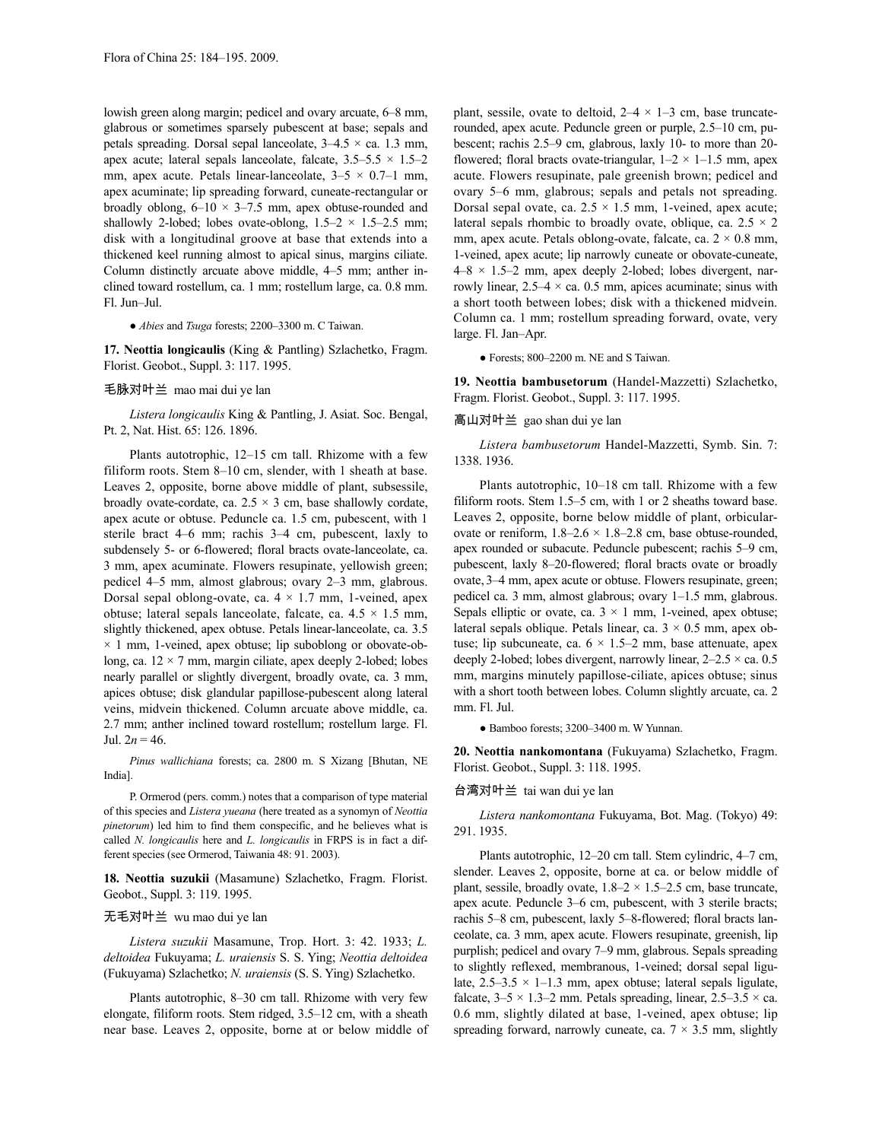lowish green along margin; pedicel and ovary arcuate, 6–8 mm, glabrous or sometimes sparsely pubescent at base; sepals and petals spreading. Dorsal sepal lanceolate,  $3-4.5 \times$  ca. 1.3 mm, apex acute; lateral sepals lanceolate, falcate,  $3.5-5.5 \times 1.5-2$ mm, apex acute. Petals linear-lanceolate,  $3-5 \times 0.7-1$  mm, apex acuminate; lip spreading forward, cuneate-rectangular or broadly oblong,  $6-10 \times 3-7.5$  mm, apex obtuse-rounded and shallowly 2-lobed; lobes ovate-oblong,  $1.5-2 \times 1.5-2.5$  mm; disk with a longitudinal groove at base that extends into a thickened keel running almost to apical sinus, margins ciliate. Column distinctly arcuate above middle, 4–5 mm; anther inclined toward rostellum, ca. 1 mm; rostellum large, ca. 0.8 mm. Fl. Jun–Jul.

● *Abies* and *Tsuga* forests; 2200–3300 m. C Taiwan.

**17. Neottia longicaulis** (King & Pantling) Szlachetko, Fragm. Florist. Geobot., Suppl. 3: 117. 1995.

# 毛脉对叶兰 mao mai dui ye lan

*Listera longicaulis* King & Pantling, J. Asiat. Soc. Bengal, Pt. 2, Nat. Hist. 65: 126. 1896.

Plants autotrophic, 12–15 cm tall. Rhizome with a few filiform roots. Stem 8–10 cm, slender, with 1 sheath at base. Leaves 2, opposite, borne above middle of plant, subsessile, broadly ovate-cordate, ca.  $2.5 \times 3$  cm, base shallowly cordate, apex acute or obtuse. Peduncle ca. 1.5 cm, pubescent, with 1 sterile bract 4–6 mm; rachis 3–4 cm, pubescent, laxly to subdensely 5- or 6-flowered; floral bracts ovate-lanceolate, ca. 3 mm, apex acuminate. Flowers resupinate, yellowish green; pedicel 4–5 mm, almost glabrous; ovary 2–3 mm, glabrous. Dorsal sepal oblong-ovate, ca.  $4 \times 1.7$  mm, 1-veined, apex obtuse; lateral sepals lanceolate, falcate, ca.  $4.5 \times 1.5$  mm, slightly thickened, apex obtuse. Petals linear-lanceolate, ca. 3.5  $\times$  1 mm, 1-veined, apex obtuse; lip suboblong or obovate-oblong, ca.  $12 \times 7$  mm, margin ciliate, apex deeply 2-lobed; lobes nearly parallel or slightly divergent, broadly ovate, ca. 3 mm, apices obtuse; disk glandular papillose-pubescent along lateral veins, midvein thickened. Column arcuate above middle, ca. 2.7 mm; anther inclined toward rostellum; rostellum large. Fl. Jul.  $2n = 46$ .

*Pinus wallichiana* forests; ca. 2800 m. S Xizang [Bhutan, NE India].

P. Ormerod (pers. comm.) notes that a comparison of type material of this species and *Listera yueana* (here treated as a synomyn of *Neottia pinetorum*) led him to find them conspecific, and he believes what is called *N. longicaulis* here and *L. longicaulis* in FRPS is in fact a different species (see Ormerod, Taiwania 48: 91. 2003).

**18. Neottia suzukii** (Masamune) Szlachetko, Fragm. Florist. Geobot., Suppl. 3: 119. 1995.

# 无毛对叶兰 wu mao dui ye lan

*Listera suzukii* Masamune, Trop. Hort. 3: 42. 1933; *L. deltoidea* Fukuyama; *L. uraiensis* S. S. Ying; *Neottia deltoidea* (Fukuyama) Szlachetko; *N. uraiensis* (S. S. Ying) Szlachetko.

Plants autotrophic, 8–30 cm tall. Rhizome with very few elongate, filiform roots. Stem ridged, 3.5–12 cm, with a sheath near base. Leaves 2, opposite, borne at or below middle of plant, sessile, ovate to deltoid,  $2-4 \times 1-3$  cm, base truncaterounded, apex acute. Peduncle green or purple, 2.5–10 cm, pubescent; rachis 2.5–9 cm, glabrous, laxly 10- to more than 20 flowered; floral bracts ovate-triangular,  $1-2 \times 1-1.5$  mm, apex acute. Flowers resupinate, pale greenish brown; pedicel and ovary 5–6 mm, glabrous; sepals and petals not spreading. Dorsal sepal ovate, ca.  $2.5 \times 1.5$  mm, 1-veined, apex acute; lateral sepals rhombic to broadly ovate, oblique, ca.  $2.5 \times 2$ mm, apex acute. Petals oblong-ovate, falcate, ca.  $2 \times 0.8$  mm, 1-veined, apex acute; lip narrowly cuneate or obovate-cuneate,  $4-8 \times 1.5-2$  mm, apex deeply 2-lobed; lobes divergent, narrowly linear,  $2.5-4 \times$  ca. 0.5 mm, apices acuminate; sinus with a short tooth between lobes; disk with a thickened midvein. Column ca. 1 mm; rostellum spreading forward, ovate, very large. Fl. Jan–Apr.

● Forests; 800–2200 m. NE and S Taiwan.

**19. Neottia bambusetorum** (Handel-Mazzetti) Szlachetko, Fragm. Florist. Geobot., Suppl. 3: 117. 1995.

# 高山对叶兰 gao shan dui ye lan

*Listera bambusetorum* Handel-Mazzetti, Symb. Sin. 7: 1338. 1936.

Plants autotrophic, 10–18 cm tall. Rhizome with a few filiform roots. Stem 1.5–5 cm, with 1 or 2 sheaths toward base. Leaves 2, opposite, borne below middle of plant, orbicularovate or reniform,  $1.8-2.6 \times 1.8-2.8$  cm, base obtuse-rounded, apex rounded or subacute. Peduncle pubescent; rachis 5–9 cm, pubescent, laxly 8–20-flowered; floral bracts ovate or broadly ovate, 3–4 mm, apex acute or obtuse. Flowers resupinate, green; pedicel ca. 3 mm, almost glabrous; ovary 1–1.5 mm, glabrous. Sepals elliptic or ovate, ca.  $3 \times 1$  mm, 1-veined, apex obtuse; lateral sepals oblique. Petals linear, ca.  $3 \times 0.5$  mm, apex obtuse; lip subcuneate, ca.  $6 \times 1.5-2$  mm, base attenuate, apex deeply 2-lobed; lobes divergent, narrowly linear,  $2-2.5 \times$  ca. 0.5 mm, margins minutely papillose-ciliate, apices obtuse; sinus with a short tooth between lobes. Column slightly arcuate, ca. 2 mm. Fl. Jul.

● Bamboo forests; 3200–3400 m. W Yunnan.

**20. Neottia nankomontana** (Fukuyama) Szlachetko, Fragm. Florist. Geobot., Suppl. 3: 118. 1995.

# 台湾对叶兰 tai wan dui ye lan

*Listera nankomontana* Fukuyama, Bot. Mag. (Tokyo) 49: 291. 1935.

Plants autotrophic, 12–20 cm tall. Stem cylindric, 4–7 cm, slender. Leaves 2, opposite, borne at ca. or below middle of plant, sessile, broadly ovate,  $1.8-2 \times 1.5-2.5$  cm, base truncate, apex acute. Peduncle 3–6 cm, pubescent, with 3 sterile bracts; rachis 5–8 cm, pubescent, laxly 5–8-flowered; floral bracts lanceolate, ca. 3 mm, apex acute. Flowers resupinate, greenish, lip purplish; pedicel and ovary 7–9 mm, glabrous. Sepals spreading to slightly reflexed, membranous, 1-veined; dorsal sepal ligulate,  $2.5-3.5 \times 1-1.3$  mm, apex obtuse; lateral sepals ligulate, falcate,  $3-5 \times 1.3-2$  mm. Petals spreading, linear,  $2.5-3.5 \times$  ca. 0.6 mm, slightly dilated at base, 1-veined, apex obtuse; lip spreading forward, narrowly cuneate, ca.  $7 \times 3.5$  mm, slightly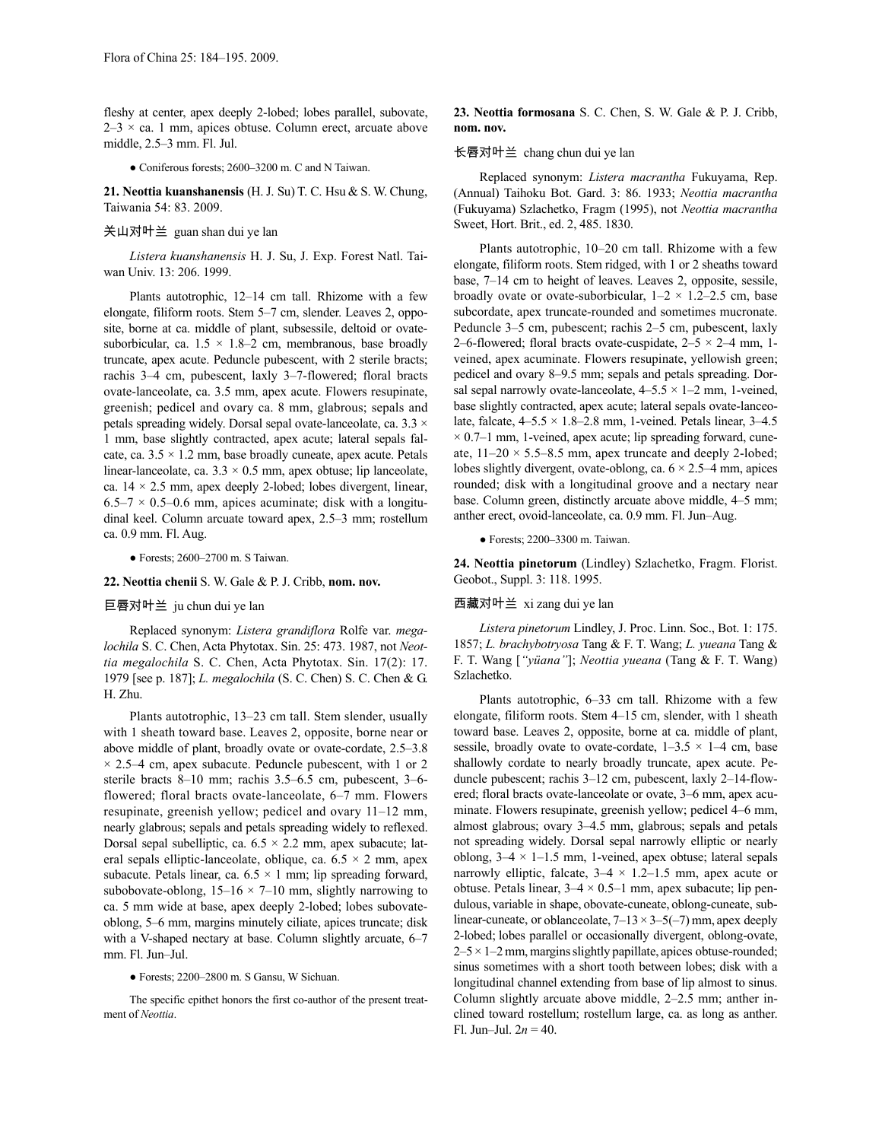fleshy at center, apex deeply 2-lobed; lobes parallel, subovate,  $2-3 \times$  ca. 1 mm, apices obtuse. Column erect, arcuate above middle, 2.5–3 mm. Fl. Jul.

● Coniferous forests; 2600–3200 m. C and N Taiwan.

**21. Neottia kuanshanensis** (H.J. Su) T. C. Hsu & S. W. Chung, Taiwania 54: 83. 2009.

## 关山对叶兰 guan shan dui ye lan

*Listera kuanshanensis* H. J. Su, J. Exp. Forest Natl. Taiwan Univ. 13: 206. 1999.

Plants autotrophic, 12–14 cm tall. Rhizome with a few elongate, filiform roots. Stem 5–7 cm, slender. Leaves 2, opposite, borne at ca. middle of plant, subsessile, deltoid or ovatesuborbicular, ca.  $1.5 \times 1.8-2$  cm, membranous, base broadly truncate, apex acute. Peduncle pubescent, with 2 sterile bracts; rachis 3–4 cm, pubescent, laxly 3–7-flowered; floral bracts ovate-lanceolate, ca. 3.5 mm, apex acute. Flowers resupinate, greenish; pedicel and ovary ca. 8 mm, glabrous; sepals and petals spreading widely. Dorsal sepal ovate-lanceolate, ca.  $3.3 \times$ 1 mm, base slightly contracted, apex acute; lateral sepals falcate, ca.  $3.5 \times 1.2$  mm, base broadly cuneate, apex acute. Petals linear-lanceolate, ca.  $3.3 \times 0.5$  mm, apex obtuse; lip lanceolate, ca.  $14 \times 2.5$  mm, apex deeply 2-lobed; lobes divergent, linear,  $6.5-7 \times 0.5-0.6$  mm, apices acuminate; disk with a longitudinal keel. Column arcuate toward apex, 2.5–3 mm; rostellum ca. 0.9 mm. Fl. Aug.

● Forests; 2600–2700 m. S Taiwan.

#### **22. Neottia chenii** S. W. Gale & P. J. Cribb, **nom. nov.**

## 巨唇对叶兰 ju chun dui ye lan

Replaced synonym: *Listera grandiflora* Rolfe var. *megalochila* S. C. Chen, Acta Phytotax. Sin. 25: 473. 1987, not *Neottia megalochila* S. C. Chen, Acta Phytotax. Sin. 17(2): 17. 1979 [see p. 187]; *L. megalochila* (S. C. Chen) S. C. Chen & G. H. Zhu.

Plants autotrophic, 13–23 cm tall. Stem slender, usually with 1 sheath toward base. Leaves 2, opposite, borne near or above middle of plant, broadly ovate or ovate-cordate, 2.5–3.8  $\times$  2.5–4 cm, apex subacute. Peduncle pubescent, with 1 or 2 sterile bracts 8–10 mm; rachis 3.5–6.5 cm, pubescent, 3–6 flowered; floral bracts ovate-lanceolate, 6–7 mm. Flowers resupinate, greenish yellow; pedicel and ovary 11–12 mm, nearly glabrous; sepals and petals spreading widely to reflexed. Dorsal sepal subelliptic, ca.  $6.5 \times 2.2$  mm, apex subacute; lateral sepals elliptic-lanceolate, oblique, ca.  $6.5 \times 2$  mm, apex subacute. Petals linear, ca.  $6.5 \times 1$  mm; lip spreading forward, subobovate-oblong,  $15-16 \times 7-10$  mm, slightly narrowing to ca. 5 mm wide at base, apex deeply 2-lobed; lobes subovateoblong, 5–6 mm, margins minutely ciliate, apices truncate; disk with a V-shaped nectary at base. Column slightly arcuate, 6–7 mm. Fl. Jun–Jul.

#### ● Forests; 2200–2800 m. S Gansu, W Sichuan.

The specific epithet honors the first co-author of the present treatment of *Neottia*.

# **23. Neottia formosana** S. C. Chen, S. W. Gale & P. J. Cribb, **nom. nov.**

# 长唇对叶兰 chang chun dui ye lan

Replaced synonym: *Listera macrantha* Fukuyama, Rep. (Annual) Taihoku Bot. Gard. 3: 86. 1933; *Neottia macrantha* (Fukuyama) Szlachetko, Fragm (1995), not *Neottia macrantha* Sweet, Hort. Brit., ed. 2, 485. 1830.

Plants autotrophic, 10–20 cm tall. Rhizome with a few elongate, filiform roots. Stem ridged, with 1 or 2 sheaths toward base, 7–14 cm to height of leaves. Leaves 2, opposite, sessile, broadly ovate or ovate-suborbicular,  $1-2 \times 1.2-2.5$  cm, base subcordate, apex truncate-rounded and sometimes mucronate. Peduncle 3–5 cm, pubescent; rachis 2–5 cm, pubescent, laxly 2–6-flowered; floral bracts ovate-cuspidate,  $2-5 \times 2-4$  mm, 1veined, apex acuminate. Flowers resupinate, yellowish green; pedicel and ovary 8–9.5 mm; sepals and petals spreading. Dorsal sepal narrowly ovate-lanceolate,  $4-5.5 \times 1-2$  mm, 1-veined, base slightly contracted, apex acute; lateral sepals ovate-lanceolate, falcate,  $4-5.5 \times 1.8-2.8$  mm, 1-veined. Petals linear,  $3-4.5$  $\times$  0.7–1 mm, 1-veined, apex acute; lip spreading forward, cuneate,  $11-20 \times 5.5-8.5$  mm, apex truncate and deeply 2-lobed; lobes slightly divergent, ovate-oblong, ca.  $6 \times 2.5-4$  mm, apices rounded; disk with a longitudinal groove and a nectary near base. Column green, distinctly arcuate above middle, 4–5 mm; anther erect, ovoid-lanceolate, ca. 0.9 mm. Fl. Jun–Aug.

● Forests; 2200–3300 m. Taiwan.

**24. Neottia pinetorum** (Lindley) Szlachetko, Fragm. Florist. Geobot., Suppl. 3: 118. 1995.

# 西藏对叶兰 xi zang dui ye lan

*Listera pinetorum* Lindley, J. Proc. Linn. Soc., Bot. 1: 175. 1857; *L. brachybotryosa* Tang & F. T. Wang; *L. yueana* Tang & F. T. Wang [*"yüana"*]; *Neottia yueana* (Tang & F. T. Wang) Szlachetko.

Plants autotrophic, 6–33 cm tall. Rhizome with a few elongate, filiform roots. Stem 4–15 cm, slender, with 1 sheath toward base. Leaves 2, opposite, borne at ca. middle of plant, sessile, broadly ovate to ovate-cordate,  $1-3.5 \times 1-4$  cm, base shallowly cordate to nearly broadly truncate, apex acute. Peduncle pubescent; rachis 3–12 cm, pubescent, laxly 2–14-flowered; floral bracts ovate-lanceolate or ovate, 3–6 mm, apex acuminate. Flowers resupinate, greenish yellow; pedicel 4–6 mm, almost glabrous; ovary 3–4.5 mm, glabrous; sepals and petals not spreading widely. Dorsal sepal narrowly elliptic or nearly oblong,  $3-4 \times 1-1.5$  mm, 1-veined, apex obtuse; lateral sepals narrowly elliptic, falcate,  $3-4 \times 1.2-1.5$  mm, apex acute or obtuse. Petals linear,  $3-4 \times 0.5-1$  mm, apex subacute; lip pendulous, variable in shape, obovate-cuneate, oblong-cuneate, sublinear-cuneate, or oblanceolate,  $7-13 \times 3-5(-7)$  mm, apex deeply 2-lobed; lobes parallel or occasionally divergent, oblong-ovate,  $2-5 \times 1-2$  mm, margins slightly papillate, apices obtuse-rounded; sinus sometimes with a short tooth between lobes; disk with a longitudinal channel extending from base of lip almost to sinus. Column slightly arcuate above middle, 2–2.5 mm; anther inclined toward rostellum; rostellum large, ca. as long as anther. Fl. Jun–Jul.  $2n = 40$ .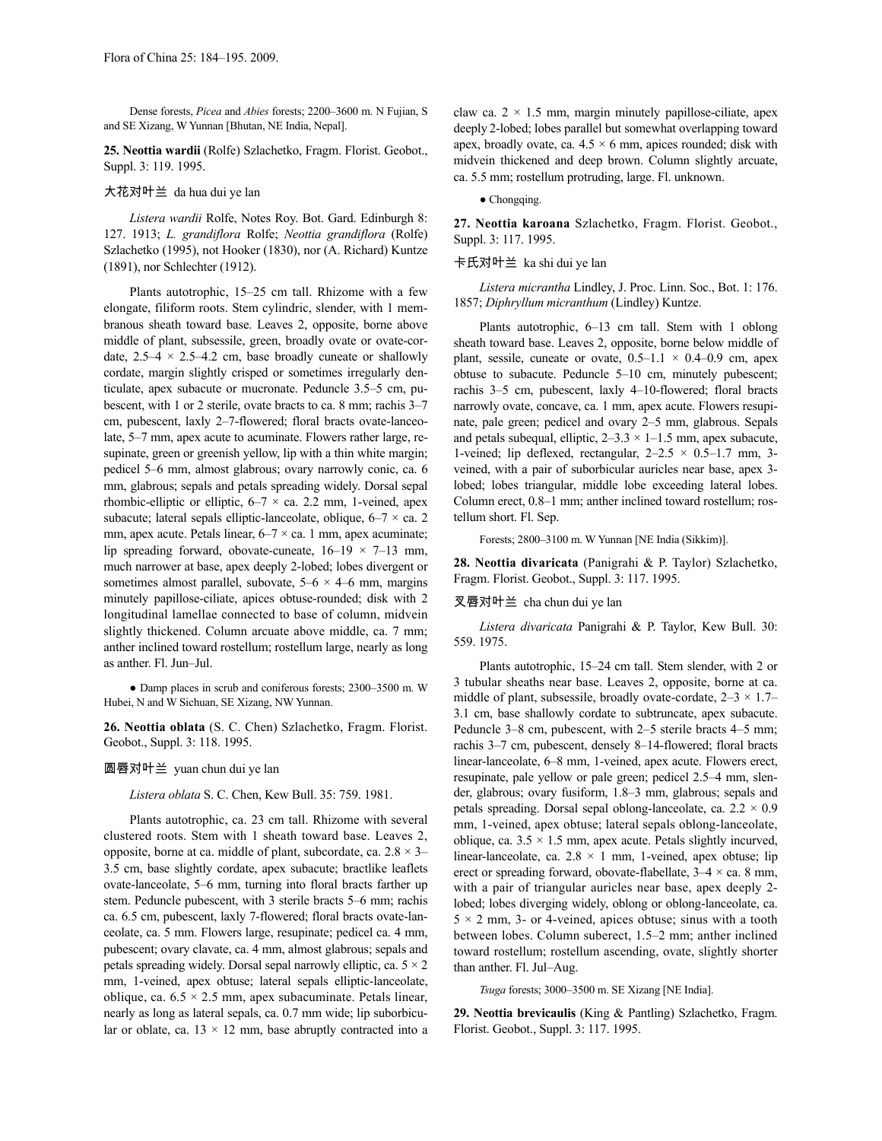Dense forests, *Picea* and *Abies* forests; 2200–3600 m. N Fujian, S and SE Xizang, W Yunnan [Bhutan, NE India, Nepal].

**25. Neottia wardii** (Rolfe) Szlachetko, Fragm. Florist. Geobot., Suppl. 3: 119. 1995.

# 大花对叶兰 da hua dui ye lan

*Listera wardii* Rolfe, Notes Roy. Bot. Gard. Edinburgh 8: 127. 1913; *L. grandiflora* Rolfe; *Neottia grandiflora* (Rolfe) Szlachetko (1995), not Hooker (1830), nor (A. Richard) Kuntze (1891), nor Schlechter (1912).

Plants autotrophic, 15–25 cm tall. Rhizome with a few elongate, filiform roots. Stem cylindric, slender, with 1 membranous sheath toward base. Leaves 2, opposite, borne above middle of plant, subsessile, green, broadly ovate or ovate-cordate,  $2.5-4 \times 2.5-4.2$  cm, base broadly cuneate or shallowly cordate, margin slightly crisped or sometimes irregularly denticulate, apex subacute or mucronate. Peduncle 3.5–5 cm, pubescent, with 1 or 2 sterile, ovate bracts to ca. 8 mm; rachis 3–7 cm, pubescent, laxly 2–7-flowered; floral bracts ovate-lanceolate, 5–7 mm, apex acute to acuminate. Flowers rather large, resupinate, green or greenish yellow, lip with a thin white margin; pedicel 5–6 mm, almost glabrous; ovary narrowly conic, ca. 6 mm, glabrous; sepals and petals spreading widely. Dorsal sepal rhombic-elliptic or elliptic,  $6-7 \times$  ca. 2.2 mm, 1-veined, apex subacute; lateral sepals elliptic-lanceolate, oblique,  $6-7 \times$  ca. 2 mm, apex acute. Petals linear,  $6-7 \times$  ca. 1 mm, apex acuminate; lip spreading forward, obovate-cuneate,  $16-19 \times 7-13$  mm, much narrower at base, apex deeply 2-lobed; lobes divergent or sometimes almost parallel, subovate,  $5-6 \times 4-6$  mm, margins minutely papillose-ciliate, apices obtuse-rounded; disk with 2 longitudinal lamellae connected to base of column, midvein slightly thickened. Column arcuate above middle, ca. 7 mm; anther inclined toward rostellum; rostellum large, nearly as long as anther. Fl. Jun–Jul.

● Damp places in scrub and coniferous forests; 2300–3500 m. W Hubei, N and W Sichuan, SE Xizang, NW Yunnan.

**26. Neottia oblata** (S. C. Chen) Szlachetko, Fragm. Florist. Geobot., Suppl. 3: 118. 1995.

# 圆唇对叶兰 yuan chun dui ye lan

*Listera oblata* S. C. Chen, Kew Bull. 35: 759. 1981.

Plants autotrophic, ca. 23 cm tall. Rhizome with several clustered roots. Stem with 1 sheath toward base. Leaves 2, opposite, borne at ca. middle of plant, subcordate, ca.  $2.8 \times 3-$ 3.5 cm, base slightly cordate, apex subacute; bractlike leaflets ovate-lanceolate, 5–6 mm, turning into floral bracts farther up stem. Peduncle pubescent, with 3 sterile bracts 5–6 mm; rachis ca. 6.5 cm, pubescent, laxly 7-flowered; floral bracts ovate-lanceolate, ca. 5 mm. Flowers large, resupinate; pedicel ca. 4 mm, pubescent; ovary clavate, ca. 4 mm, almost glabrous; sepals and petals spreading widely. Dorsal sepal narrowly elliptic, ca.  $5 \times 2$ mm, 1-veined, apex obtuse; lateral sepals elliptic-lanceolate, oblique, ca.  $6.5 \times 2.5$  mm, apex subacuminate. Petals linear, nearly as long as lateral sepals, ca. 0.7 mm wide; lip suborbicular or oblate, ca.  $13 \times 12$  mm, base abruptly contracted into a claw ca.  $2 \times 1.5$  mm, margin minutely papillose-ciliate, apex deeply 2-lobed; lobes parallel but somewhat overlapping toward apex, broadly ovate, ca.  $4.5 \times 6$  mm, apices rounded; disk with midvein thickened and deep brown. Column slightly arcuate, ca. 5.5 mm; rostellum protruding, large. Fl. unknown.

• Chongqing.

**27. Neottia karoana** Szlachetko, Fragm. Florist. Geobot., Suppl. 3: 117. 1995.

# 卡氏对叶兰 ka shi dui ye lan

*Listera micrantha* Lindley, J. Proc. Linn. Soc., Bot. 1: 176. 1857; *Diphryllum micranthum* (Lindley) Kuntze.

Plants autotrophic, 6–13 cm tall. Stem with 1 oblong sheath toward base. Leaves 2, opposite, borne below middle of plant, sessile, cuneate or ovate,  $0.5-1.1 \times 0.4-0.9$  cm, apex obtuse to subacute. Peduncle 5–10 cm, minutely pubescent; rachis 3–5 cm, pubescent, laxly 4–10-flowered; floral bracts narrowly ovate, concave, ca. 1 mm, apex acute. Flowers resupinate, pale green; pedicel and ovary 2–5 mm, glabrous. Sepals and petals subequal, elliptic,  $2-3.3 \times 1-1.5$  mm, apex subacute, 1-veined; lip deflexed, rectangular,  $2-2.5 \times 0.5-1.7$  mm, 3veined, with a pair of suborbicular auricles near base, apex 3 lobed; lobes triangular, middle lobe exceeding lateral lobes. Column erect, 0.8–1 mm; anther inclined toward rostellum; rostellum short. Fl. Sep.

Forests; 2800–3100 m. W Yunnan [NE India (Sikkim)].

**28. Neottia divaricata** (Panigrahi & P. Taylor) Szlachetko, Fragm. Florist. Geobot., Suppl. 3: 117. 1995.

## 叉唇对叶兰 cha chun dui ye lan

*Listera divaricata* Panigrahi & P. Taylor, Kew Bull. 30: 559. 1975.

Plants autotrophic, 15–24 cm tall. Stem slender, with 2 or 3 tubular sheaths near base. Leaves 2, opposite, borne at ca. middle of plant, subsessile, broadly ovate-cordate,  $2-3 \times 1.7-$ 3.1 cm, base shallowly cordate to subtruncate, apex subacute. Peduncle 3–8 cm, pubescent, with 2–5 sterile bracts 4–5 mm; rachis 3–7 cm, pubescent, densely 8–14-flowered; floral bracts linear-lanceolate, 6–8 mm, 1-veined, apex acute. Flowers erect, resupinate, pale yellow or pale green; pedicel 2.5–4 mm, slender, glabrous; ovary fusiform, 1.8–3 mm, glabrous; sepals and petals spreading. Dorsal sepal oblong-lanceolate, ca.  $2.2 \times 0.9$ mm, 1-veined, apex obtuse; lateral sepals oblong-lanceolate, oblique, ca.  $3.5 \times 1.5$  mm, apex acute. Petals slightly incurved, linear-lanceolate, ca.  $2.8 \times 1$  mm, 1-veined, apex obtuse; lip erect or spreading forward, obovate-flabellate,  $3-4 \times$  ca. 8 mm, with a pair of triangular auricles near base, apex deeply 2 lobed; lobes diverging widely, oblong or oblong-lanceolate, ca.  $5 \times 2$  mm, 3- or 4-veined, apices obtuse; sinus with a tooth between lobes. Column suberect, 1.5–2 mm; anther inclined toward rostellum; rostellum ascending, ovate, slightly shorter than anther. Fl. Jul–Aug.

*Tsuga* forests; 3000–3500 m. SE Xizang [NE India].

**29. Neottia brevicaulis** (King & Pantling) Szlachetko, Fragm. Florist. Geobot., Suppl. 3: 117. 1995.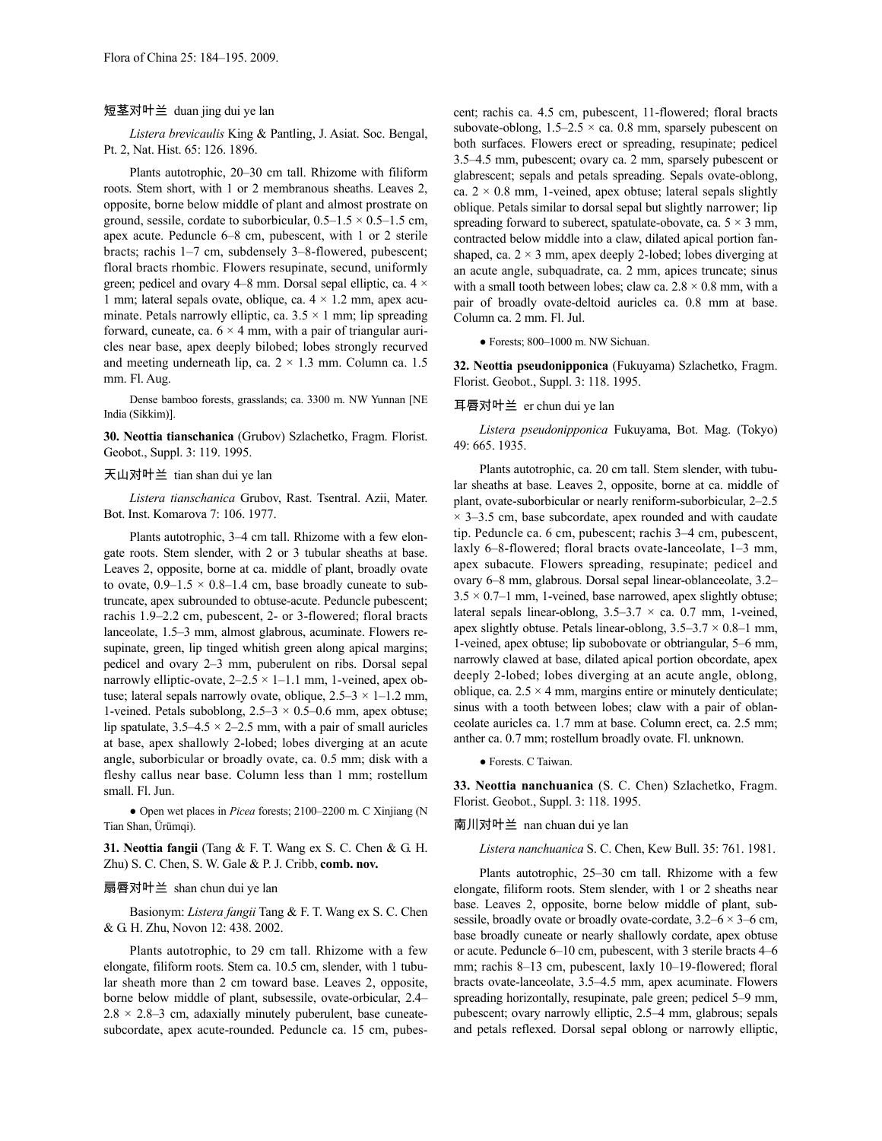# 短茎对叶兰 duan jing dui ye lan

*Listera brevicaulis* King & Pantling, J. Asiat. Soc. Bengal, Pt. 2, Nat. Hist. 65: 126. 1896.

Plants autotrophic, 20–30 cm tall. Rhizome with filiform roots. Stem short, with 1 or 2 membranous sheaths. Leaves 2, opposite, borne below middle of plant and almost prostrate on ground, sessile, cordate to suborbicular,  $0.5-1.5 \times 0.5-1.5$  cm, apex acute. Peduncle 6–8 cm, pubescent, with 1 or 2 sterile bracts; rachis 1–7 cm, subdensely 3–8-flowered, pubescent; floral bracts rhombic. Flowers resupinate, secund, uniformly green; pedicel and ovary 4–8 mm. Dorsal sepal elliptic, ca. 4 × 1 mm; lateral sepals ovate, oblique, ca.  $4 \times 1.2$  mm, apex acuminate. Petals narrowly elliptic, ca.  $3.5 \times 1$  mm; lip spreading forward, cuneate, ca.  $6 \times 4$  mm, with a pair of triangular auricles near base, apex deeply bilobed; lobes strongly recurved and meeting underneath lip, ca.  $2 \times 1.3$  mm. Column ca. 1.5 mm. Fl. Aug.

Dense bamboo forests, grasslands; ca. 3300 m. NW Yunnan [NE India (Sikkim)].

**30. Neottia tianschanica** (Grubov) Szlachetko, Fragm. Florist. Geobot., Suppl. 3: 119. 1995.

# 天山对叶兰 tian shan dui ye lan

*Listera tianschanica* Grubov, Rast. Tsentral. Azii, Mater. Bot. Inst. Komarova 7: 106. 1977.

Plants autotrophic, 3–4 cm tall. Rhizome with a few elongate roots. Stem slender, with 2 or 3 tubular sheaths at base. Leaves 2, opposite, borne at ca. middle of plant, broadly ovate to ovate,  $0.9-1.5 \times 0.8-1.4$  cm, base broadly cuneate to subtruncate, apex subrounded to obtuse-acute. Peduncle pubescent; rachis 1.9–2.2 cm, pubescent, 2- or 3-flowered; floral bracts lanceolate, 1.5–3 mm, almost glabrous, acuminate. Flowers resupinate, green, lip tinged whitish green along apical margins; pedicel and ovary 2–3 mm, puberulent on ribs. Dorsal sepal narrowly elliptic-ovate,  $2-2.5 \times 1-1.1$  mm, 1-veined, apex obtuse; lateral sepals narrowly ovate, oblique,  $2.5-3 \times 1-1.2$  mm, 1-veined. Petals suboblong,  $2.5-3 \times 0.5-0.6$  mm, apex obtuse; lip spatulate,  $3.5-4.5 \times 2-2.5$  mm, with a pair of small auricles at base, apex shallowly 2-lobed; lobes diverging at an acute angle, suborbicular or broadly ovate, ca. 0.5 mm; disk with a fleshy callus near base. Column less than 1 mm; rostellum small. Fl. Jun.

● Open wet places in *Picea* forests; 2100–2200 m. C Xinjiang (N Tian Shan, Ürümqi).

**31. Neottia fangii** (Tang & F. T. Wang ex S. C. Chen & G. H. Zhu) S. C. Chen, S. W. Gale & P. J. Cribb, **comb. nov.**

## 扇唇对叶兰 shan chun dui ye lan

Basionym: *Listera fangii* Tang & F. T. Wang ex S. C. Chen & G. H. Zhu, Novon 12: 438. 2002.

Plants autotrophic, to 29 cm tall. Rhizome with a few elongate, filiform roots. Stem ca. 10.5 cm, slender, with 1 tubular sheath more than 2 cm toward base. Leaves 2, opposite, borne below middle of plant, subsessile, ovate-orbicular, 2.4–  $2.8 \times 2.8 - 3$  cm, adaxially minutely puberulent, base cuneatesubcordate, apex acute-rounded. Peduncle ca. 15 cm, pubescent; rachis ca. 4.5 cm, pubescent, 11-flowered; floral bracts subovate-oblong,  $1.5-2.5 \times$  ca. 0.8 mm, sparsely pubescent on both surfaces. Flowers erect or spreading, resupinate; pedicel 3.5–4.5 mm, pubescent; ovary ca. 2 mm, sparsely pubescent or glabrescent; sepals and petals spreading. Sepals ovate-oblong, ca.  $2 \times 0.8$  mm, 1-veined, apex obtuse; lateral sepals slightly oblique. Petals similar to dorsal sepal but slightly narrower; lip spreading forward to suberect, spatulate-obovate, ca.  $5 \times 3$  mm, contracted below middle into a claw, dilated apical portion fanshaped, ca.  $2 \times 3$  mm, apex deeply 2-lobed; lobes diverging at an acute angle, subquadrate, ca. 2 mm, apices truncate; sinus with a small tooth between lobes; claw ca.  $2.8 \times 0.8$  mm, with a pair of broadly ovate-deltoid auricles ca. 0.8 mm at base. Column ca. 2 mm. Fl. Jul.

● Forests; 800–1000 m. NW Sichuan.

**32. Neottia pseudonipponica** (Fukuyama) Szlachetko, Fragm. Florist. Geobot., Suppl. 3: 118. 1995.

#### 耳唇对叶兰 er chun dui ye lan

*Listera pseudonipponica* Fukuyama, Bot. Mag. (Tokyo) 49: 665. 1935.

Plants autotrophic, ca. 20 cm tall. Stem slender, with tubular sheaths at base. Leaves 2, opposite, borne at ca. middle of plant, ovate-suborbicular or nearly reniform-suborbicular, 2–2.5  $\times$  3–3.5 cm, base subcordate, apex rounded and with caudate tip. Peduncle ca. 6 cm, pubescent; rachis 3–4 cm, pubescent, laxly 6–8-flowered; floral bracts ovate-lanceolate, 1–3 mm, apex subacute. Flowers spreading, resupinate; pedicel and ovary 6–8 mm, glabrous. Dorsal sepal linear-oblanceolate, 3.2–  $3.5 \times 0.7$ –1 mm, 1-veined, base narrowed, apex slightly obtuse; lateral sepals linear-oblong,  $3.5-3.7 \times$  ca. 0.7 mm, 1-veined, apex slightly obtuse. Petals linear-oblong,  $3.5-3.7 \times 0.8-1$  mm, 1-veined, apex obtuse; lip subobovate or obtriangular, 5–6 mm, narrowly clawed at base, dilated apical portion obcordate, apex deeply 2-lobed; lobes diverging at an acute angle, oblong, oblique, ca.  $2.5 \times 4$  mm, margins entire or minutely denticulate; sinus with a tooth between lobes; claw with a pair of oblanceolate auricles ca. 1.7 mm at base. Column erect, ca. 2.5 mm; anther ca. 0.7 mm; rostellum broadly ovate. Fl. unknown.

## ● Forests. C Taiwan.

**33. Neottia nanchuanica** (S. C. Chen) Szlachetko, Fragm. Florist. Geobot., Suppl. 3: 118. 1995.

# 南川对叶兰 nan chuan dui ye lan

*Listera nanchuanica* S. C. Chen, Kew Bull. 35: 761. 1981.

Plants autotrophic, 25–30 cm tall. Rhizome with a few elongate, filiform roots. Stem slender, with 1 or 2 sheaths near base. Leaves 2, opposite, borne below middle of plant, subsessile, broadly ovate or broadly ovate-cordate,  $3.2-6 \times 3-6$  cm, base broadly cuneate or nearly shallowly cordate, apex obtuse or acute. Peduncle 6–10 cm, pubescent, with 3 sterile bracts 4–6 mm; rachis 8–13 cm, pubescent, laxly 10–19-flowered; floral bracts ovate-lanceolate, 3.5–4.5 mm, apex acuminate. Flowers spreading horizontally, resupinate, pale green; pedicel 5–9 mm, pubescent; ovary narrowly elliptic, 2.5–4 mm, glabrous; sepals and petals reflexed. Dorsal sepal oblong or narrowly elliptic,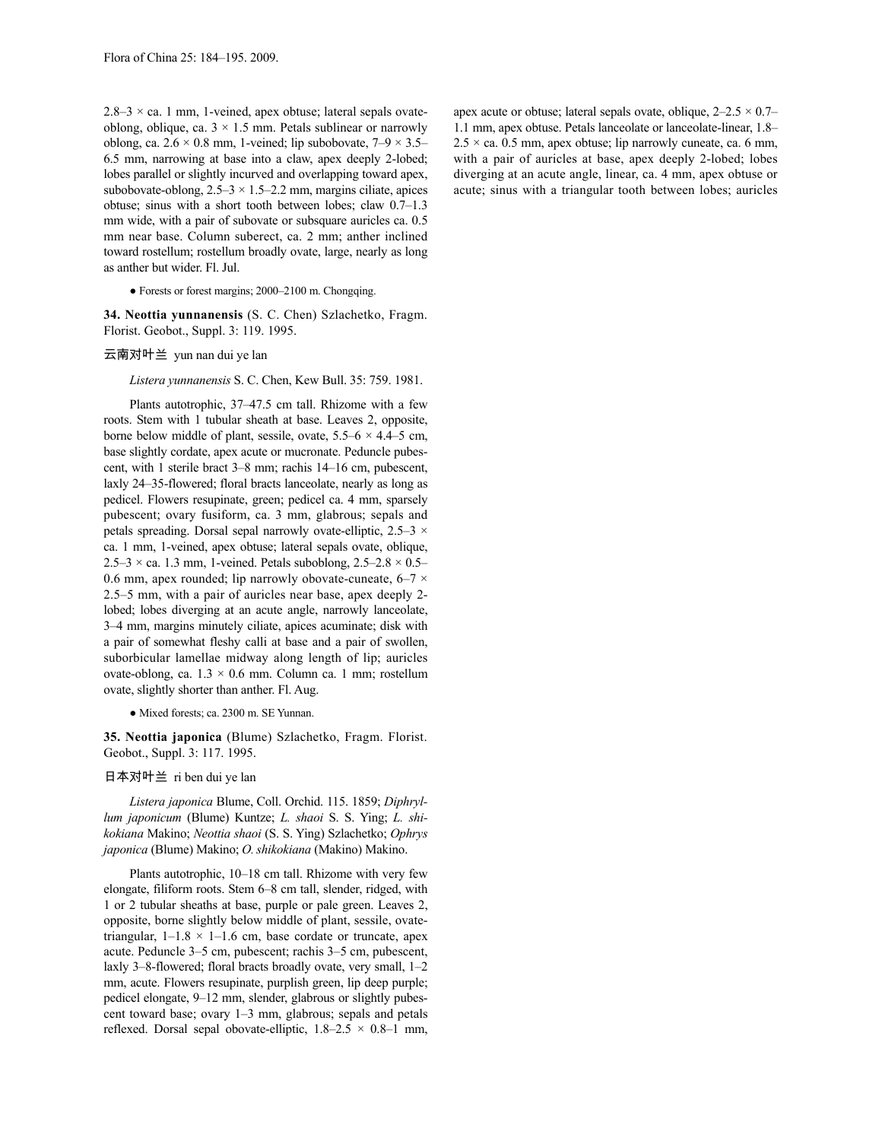$2.8-3 \times$  ca. 1 mm, 1-veined, apex obtuse; lateral sepals ovateoblong, oblique, ca.  $3 \times 1.5$  mm. Petals sublinear or narrowly oblong, ca.  $2.6 \times 0.8$  mm, 1-veined; lip subobovate,  $7-9 \times 3.5-$ 6.5 mm, narrowing at base into a claw, apex deeply 2-lobed; lobes parallel or slightly incurved and overlapping toward apex, subobovate-oblong,  $2.5-3 \times 1.5-2.2$  mm, margins ciliate, apices obtuse; sinus with a short tooth between lobes; claw 0.7–1.3 mm wide, with a pair of subovate or subsquare auricles ca. 0.5 mm near base. Column suberect, ca. 2 mm; anther inclined toward rostellum; rostellum broadly ovate, large, nearly as long as anther but wider. Fl. Jul.

### ● Forests or forest margins; 2000–2100 m. Chongqing.

**34. Neottia yunnanensis** (S. C. Chen) Szlachetko, Fragm. Florist. Geobot., Suppl. 3: 119. 1995.

## 云南对叶兰 yun nan dui ye lan

### *Listera yunnanensis* S. C. Chen, Kew Bull. 35: 759. 1981.

Plants autotrophic, 37–47.5 cm tall. Rhizome with a few roots. Stem with 1 tubular sheath at base. Leaves 2, opposite, borne below middle of plant, sessile, ovate,  $5.5-6 \times 4.4-5$  cm, base slightly cordate, apex acute or mucronate. Peduncle pubescent, with 1 sterile bract 3–8 mm; rachis 14–16 cm, pubescent, laxly 24–35-flowered; floral bracts lanceolate, nearly as long as pedicel. Flowers resupinate, green; pedicel ca. 4 mm, sparsely pubescent; ovary fusiform, ca. 3 mm, glabrous; sepals and petals spreading. Dorsal sepal narrowly ovate-elliptic, 2.5–3 × ca. 1 mm, 1-veined, apex obtuse; lateral sepals ovate, oblique,  $2.5-3 \times$  ca. 1.3 mm, 1-veined. Petals suboblong,  $2.5-2.8 \times 0.5-$ 0.6 mm, apex rounded; lip narrowly obovate-cuneate,  $6-7 \times$ 2.5–5 mm, with a pair of auricles near base, apex deeply 2 lobed; lobes diverging at an acute angle, narrowly lanceolate, 3–4 mm, margins minutely ciliate, apices acuminate; disk with a pair of somewhat fleshy calli at base and a pair of swollen, suborbicular lamellae midway along length of lip; auricles ovate-oblong, ca.  $1.3 \times 0.6$  mm. Column ca. 1 mm; rostellum ovate, slightly shorter than anther. Fl. Aug.

# ● Mixed forests; ca. 2300 m. SE Yunnan.

**35. Neottia japonica** (Blume) Szlachetko, Fragm. Florist. Geobot., Suppl. 3: 117. 1995.

### 日本对叶兰 ri ben dui ye lan

*Listera japonica* Blume, Coll. Orchid. 115. 1859; *Diphryllum japonicum* (Blume) Kuntze; *L. shaoi* S. S. Ying; *L. shikokiana* Makino; *Neottia shaoi* (S. S. Ying) Szlachetko; *Ophrys japonica* (Blume) Makino; *O.shikokiana* (Makino) Makino.

Plants autotrophic, 10–18 cm tall. Rhizome with very few elongate, filiform roots. Stem 6–8 cm tall, slender, ridged, with 1 or 2 tubular sheaths at base, purple or pale green. Leaves 2, opposite, borne slightly below middle of plant, sessile, ovatetriangular,  $1-1.8 \times 1-1.6$  cm, base cordate or truncate, apex acute. Peduncle 3–5 cm, pubescent; rachis 3–5 cm, pubescent, laxly 3–8-flowered; floral bracts broadly ovate, very small, 1–2 mm, acute. Flowers resupinate, purplish green, lip deep purple; pedicel elongate, 9–12 mm, slender, glabrous or slightly pubescent toward base; ovary 1–3 mm, glabrous; sepals and petals reflexed. Dorsal sepal obovate-elliptic, 1.8–2.5 × 0.8–1 mm,

apex acute or obtuse; lateral sepals ovate, oblique,  $2-2.5 \times 0.7-$ 1.1 mm, apex obtuse. Petals lanceolate or lanceolate-linear, 1.8–  $2.5 \times$  ca. 0.5 mm, apex obtuse; lip narrowly cuneate, ca. 6 mm, with a pair of auricles at base, apex deeply 2-lobed; lobes diverging at an acute angle, linear, ca. 4 mm, apex obtuse or acute; sinus with a triangular tooth between lobes; auricles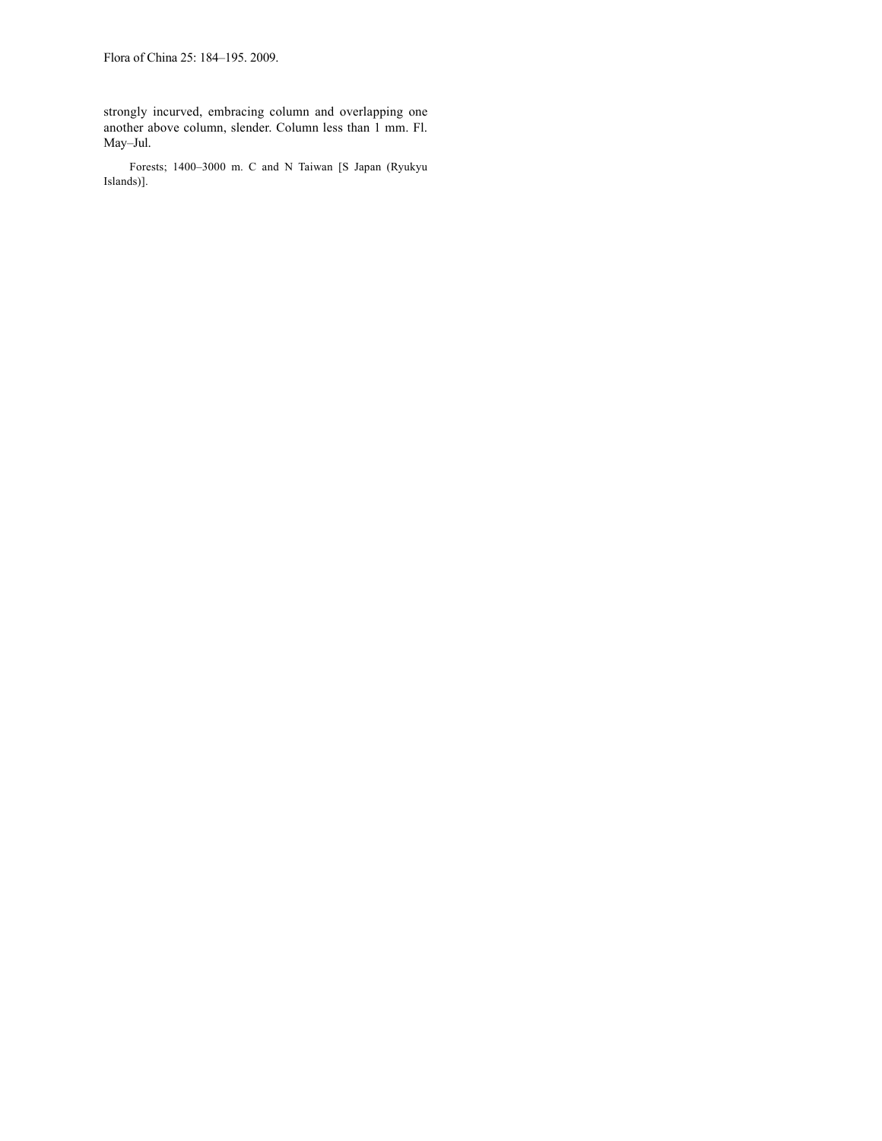strongly incurved, embracing column and overlapping one another above column, slender. Column less than 1 mm. Fl. May–Jul.

Forests; 1400–3000 m. C and N Taiwan [S Japan (Ryukyu Islands)].